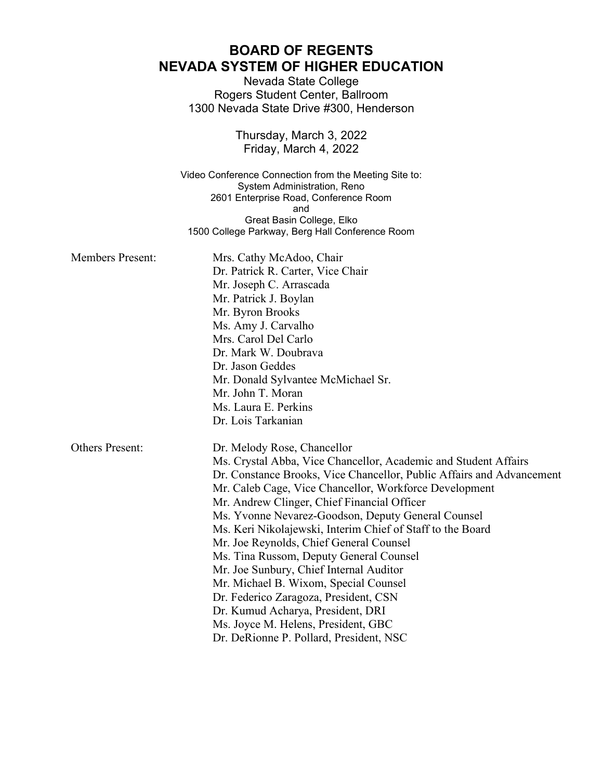# **BOARD OF REGENTS NEVADA SYSTEM OF HIGHER EDUCATION**

Nevada State College Rogers Student Center, Ballroom 1300 Nevada State Drive #300, Henderson

> Thursday, March 3, 2022 Friday, March 4, 2022

Video Conference Connection from the Meeting Site to: System Administration, Reno 2601 Enterprise Road, Conference Room and Great Basin College, Elko 1500 College Parkway, Berg Hall Conference Room

| <b>Members Present:</b> | Mrs. Cathy McAdoo, Chair                                              |  |
|-------------------------|-----------------------------------------------------------------------|--|
|                         | Dr. Patrick R. Carter, Vice Chair                                     |  |
|                         | Mr. Joseph C. Arrascada                                               |  |
|                         | Mr. Patrick J. Boylan                                                 |  |
|                         | Mr. Byron Brooks                                                      |  |
|                         | Ms. Amy J. Carvalho                                                   |  |
|                         | Mrs. Carol Del Carlo                                                  |  |
|                         | Dr. Mark W. Doubrava                                                  |  |
|                         | Dr. Jason Geddes                                                      |  |
|                         | Mr. Donald Sylvantee McMichael Sr.                                    |  |
|                         | Mr. John T. Moran                                                     |  |
|                         | Ms. Laura E. Perkins                                                  |  |
|                         | Dr. Lois Tarkanian                                                    |  |
| <b>Others Present:</b>  | Dr. Melody Rose, Chancellor                                           |  |
|                         | Ms. Crystal Abba, Vice Chancellor, Academic and Student Affairs       |  |
|                         | Dr. Constance Brooks, Vice Chancellor, Public Affairs and Advancement |  |
|                         | Mr. Caleb Cage, Vice Chancellor, Workforce Development                |  |
|                         | Mr. Andrew Clinger, Chief Financial Officer                           |  |
|                         | Ms. Yvonne Nevarez-Goodson, Deputy General Counsel                    |  |
|                         | Ms. Keri Nikolajewski, Interim Chief of Staff to the Board            |  |
|                         | Mr. Joe Reynolds, Chief General Counsel                               |  |
|                         | Ms. Tina Russom, Deputy General Counsel                               |  |
|                         | Mr. Joe Sunbury, Chief Internal Auditor                               |  |
|                         | Mr. Michael B. Wixom, Special Counsel                                 |  |
|                         | Dr. Federico Zaragoza, President, CSN                                 |  |
|                         | Dr. Kumud Acharya, President, DRI                                     |  |
|                         | Ms. Joyce M. Helens, President, GBC                                   |  |
|                         | Dr. DeRionne P. Pollard, President, NSC                               |  |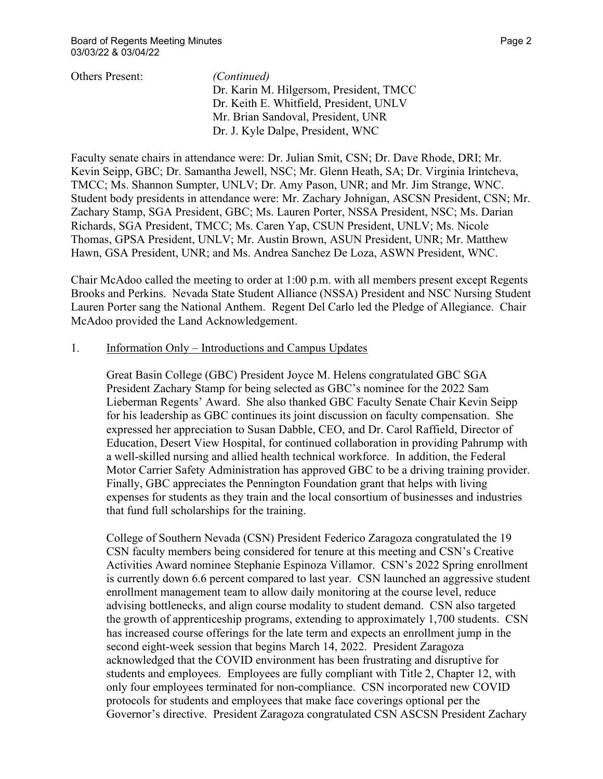Others Present: *(Continued)* Dr. Karin M. Hilgersom, President, TMCC Dr. Keith E. Whitfield, President, UNLV Mr. Brian Sandoval, President, UNR Dr. J. Kyle Dalpe, President, WNC

Faculty senate chairs in attendance were: Dr. Julian Smit, CSN; Dr. Dave Rhode, DRI; Mr. Kevin Seipp, GBC; Dr. Samantha Jewell, NSC; Mr. Glenn Heath, SA; Dr. Virginia Irintcheva, TMCC; Ms. Shannon Sumpter, UNLV; Dr. Amy Pason, UNR; and Mr. Jim Strange, WNC. Student body presidents in attendance were: Mr. Zachary Johnigan, ASCSN President, CSN; Mr. Zachary Stamp, SGA President, GBC; Ms. Lauren Porter, NSSA President, NSC; Ms. Darian Richards, SGA President, TMCC; Ms. Caren Yap, CSUN President, UNLV; Ms. Nicole Thomas, GPSA President, UNLV; Mr. Austin Brown, ASUN President, UNR; Mr. Matthew Hawn, GSA President, UNR; and Ms. Andrea Sanchez De Loza, ASWN President, WNC.

Chair McAdoo called the meeting to order at 1:00 p.m. with all members present except Regents Brooks and Perkins. Nevada State Student Alliance (NSSA) President and NSC Nursing Student Lauren Porter sang the National Anthem. Regent Del Carlo led the Pledge of Allegiance. Chair McAdoo provided the Land Acknowledgement.

### 1. Information Only – Introductions and Campus Updates

Great Basin College (GBC) President Joyce M. Helens congratulated GBC SGA President Zachary Stamp for being selected as GBC's nominee for the 2022 Sam Lieberman Regents' Award. She also thanked GBC Faculty Senate Chair Kevin Seipp for his leadership as GBC continues its joint discussion on faculty compensation. She expressed her appreciation to Susan Dabble, CEO, and Dr. Carol Raffield, Director of Education, Desert View Hospital, for continued collaboration in providing Pahrump with a well-skilled nursing and allied health technical workforce. In addition, the Federal Motor Carrier Safety Administration has approved GBC to be a driving training provider. Finally, GBC appreciates the Pennington Foundation grant that helps with living expenses for students as they train and the local consortium of businesses and industries that fund full scholarships for the training.

College of Southern Nevada (CSN) President Federico Zaragoza congratulated the 19 CSN faculty members being considered for tenure at this meeting and CSN's Creative Activities Award nominee Stephanie Espinoza Villamor. CSN's 2022 Spring enrollment is currently down 6.6 percent compared to last year. CSN launched an aggressive student enrollment management team to allow daily monitoring at the course level, reduce advising bottlenecks, and align course modality to student demand. CSN also targeted the growth of apprenticeship programs, extending to approximately 1,700 students. CSN has increased course offerings for the late term and expects an enrollment jump in the second eight-week session that begins March 14, 2022. President Zaragoza acknowledged that the COVID environment has been frustrating and disruptive for students and employees. Employees are fully compliant with Title 2, Chapter 12, with only four employees terminated for non-compliance. CSN incorporated new COVID protocols for students and employees that make face coverings optional per the Governor's directive. President Zaragoza congratulated CSN ASCSN President Zachary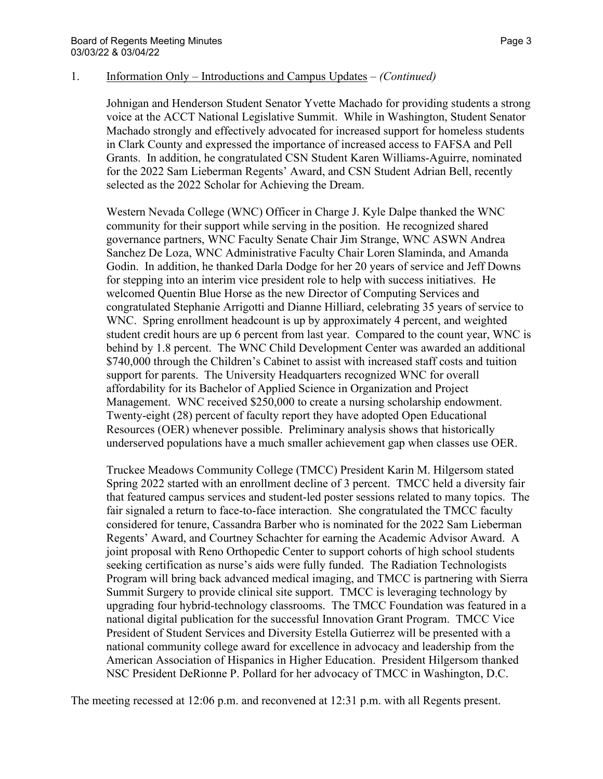Johnigan and Henderson Student Senator Yvette Machado for providing students a strong voice at the ACCT National Legislative Summit. While in Washington, Student Senator Machado strongly and effectively advocated for increased support for homeless students in Clark County and expressed the importance of increased access to FAFSA and Pell Grants. In addition, he congratulated CSN Student Karen Williams-Aguirre, nominated for the 2022 Sam Lieberman Regents' Award, and CSN Student Adrian Bell, recently selected as the 2022 Scholar for Achieving the Dream.

Western Nevada College (WNC) Officer in Charge J. Kyle Dalpe thanked the WNC community for their support while serving in the position. He recognized shared governance partners, WNC Faculty Senate Chair Jim Strange, WNC ASWN Andrea Sanchez De Loza, WNC Administrative Faculty Chair Loren Slaminda, and Amanda Godin. In addition, he thanked Darla Dodge for her 20 years of service and Jeff Downs for stepping into an interim vice president role to help with success initiatives. He welcomed Quentin Blue Horse as the new Director of Computing Services and congratulated Stephanie Arrigotti and Dianne Hilliard, celebrating 35 years of service to WNC. Spring enrollment headcount is up by approximately 4 percent, and weighted student credit hours are up 6 percent from last year. Compared to the count year, WNC is behind by 1.8 percent. The WNC Child Development Center was awarded an additional \$740,000 through the Children's Cabinet to assist with increased staff costs and tuition support for parents. The University Headquarters recognized WNC for overall affordability for its Bachelor of Applied Science in Organization and Project Management. WNC received \$250,000 to create a nursing scholarship endowment. Twenty-eight (28) percent of faculty report they have adopted Open Educational Resources (OER) whenever possible. Preliminary analysis shows that historically underserved populations have a much smaller achievement gap when classes use OER.

Truckee Meadows Community College (TMCC) President Karin M. Hilgersom stated Spring 2022 started with an enrollment decline of 3 percent. TMCC held a diversity fair that featured campus services and student-led poster sessions related to many topics. The fair signaled a return to face-to-face interaction. She congratulated the TMCC faculty considered for tenure, Cassandra Barber who is nominated for the 2022 Sam Lieberman Regents' Award, and Courtney Schachter for earning the Academic Advisor Award. A joint proposal with Reno Orthopedic Center to support cohorts of high school students seeking certification as nurse's aids were fully funded. The Radiation Technologists Program will bring back advanced medical imaging, and TMCC is partnering with Sierra Summit Surgery to provide clinical site support. TMCC is leveraging technology by upgrading four hybrid-technology classrooms. The TMCC Foundation was featured in a national digital publication for the successful Innovation Grant Program. TMCC Vice President of Student Services and Diversity Estella Gutierrez will be presented with a national community college award for excellence in advocacy and leadership from the American Association of Hispanics in Higher Education. President Hilgersom thanked NSC President DeRionne P. Pollard for her advocacy of TMCC in Washington, D.C.

The meeting recessed at 12:06 p.m. and reconvened at 12:31 p.m. with all Regents present.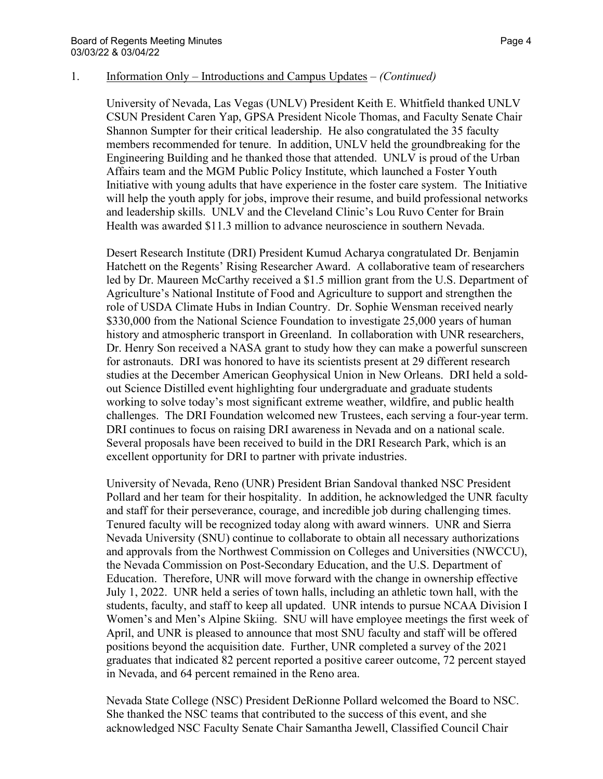#### 1. Information Only – Introductions and Campus Updates – *(Continued)*

University of Nevada, Las Vegas (UNLV) President Keith E. Whitfield thanked UNLV CSUN President Caren Yap, GPSA President Nicole Thomas, and Faculty Senate Chair Shannon Sumpter for their critical leadership. He also congratulated the 35 faculty members recommended for tenure. In addition, UNLV held the groundbreaking for the Engineering Building and he thanked those that attended. UNLV is proud of the Urban Affairs team and the MGM Public Policy Institute, which launched a Foster Youth Initiative with young adults that have experience in the foster care system. The Initiative will help the youth apply for jobs, improve their resume, and build professional networks and leadership skills. UNLV and the Cleveland Clinic's Lou Ruvo Center for Brain Health was awarded \$11.3 million to advance neuroscience in southern Nevada.

Desert Research Institute (DRI) President Kumud Acharya congratulated Dr. Benjamin Hatchett on the Regents' Rising Researcher Award. A collaborative team of researchers led by Dr. Maureen McCarthy received a \$1.5 million grant from the U.S. Department of Agriculture's National Institute of Food and Agriculture to support and strengthen the role of USDA [Climate Hubs](https://www.climatehubs.usda.gov/) in Indian Country. Dr. Sophie Wensman received nearly \$330,000 from the National Science Foundation to investigate 25,000 years of human history and atmospheric transport in Greenland. In collaboration with UNR researchers, Dr. Henry Son received a NASA grant to study how they can make a powerful sunscreen for astronauts. DRI was honored to have its scientists present at 29 different research studies at the December American Geophysical Union in New Orleans. DRI held a soldout Science Distilled event highlighting four undergraduate and graduate students working to solve today's most significant extreme weather, wildfire, and public health challenges. The DRI Foundation welcomed new Trustees, each serving a four-year term. DRI continues to focus on raising DRI awareness in Nevada and on a national scale. Several proposals have been received to build in the DRI Research Park, which is an excellent opportunity for DRI to partner with private industries.

University of Nevada, Reno (UNR) President Brian Sandoval thanked NSC President Pollard and her team for their hospitality. In addition, he acknowledged the UNR faculty and staff for their perseverance, courage, and incredible job during challenging times. Tenured faculty will be recognized today along with award winners. UNR and Sierra Nevada University (SNU) continue to collaborate to obtain all necessary authorizations and approvals from the Northwest Commission on Colleges and Universities (NWCCU), the Nevada Commission on Post-Secondary Education, and the U.S. Department of Education. Therefore, UNR will move forward with the change in ownership effective July 1, 2022. UNR held a series of town halls, including an athletic town hall, with the students, faculty, and staff to keep all updated. UNR intends to pursue NCAA Division I Women's and Men's Alpine Skiing. SNU will have employee meetings the first week of April, and UNR is pleased to announce that most SNU faculty and staff will be offered positions beyond the acquisition date. Further, UNR completed a survey of the 2021 graduates that indicated 82 percent reported a positive career outcome, 72 percent stayed in Nevada, and 64 percent remained in the Reno area.

Nevada State College (NSC) President DeRionne Pollard welcomed the Board to NSC. She thanked the NSC teams that contributed to the success of this event, and she acknowledged NSC Faculty Senate Chair Samantha Jewell, Classified Council Chair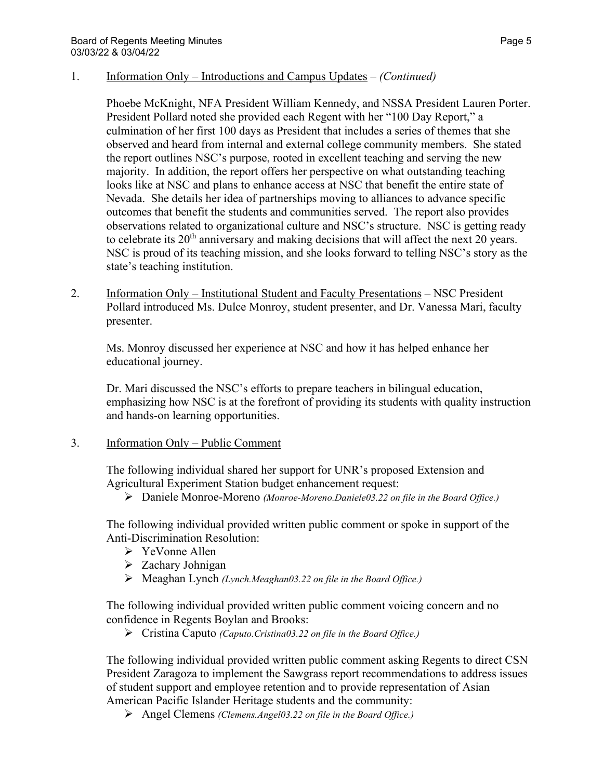### 1. Information Only – Introductions and Campus Updates – *(Continued)*

Phoebe McKnight, NFA President William Kennedy, and NSSA President Lauren Porter. President Pollard noted she provided each Regent with her "100 Day Report," a culmination of her first 100 days as President that includes a series of themes that she observed and heard from internal and external college community members. She stated the report outlines NSC's purpose, rooted in excellent teaching and serving the new majority. In addition, the report offers her perspective on what outstanding teaching looks like at NSC and plans to enhance access at NSC that benefit the entire state of Nevada. She details her idea of partnerships moving to alliances to advance specific outcomes that benefit the students and communities served. The report also provides observations related to organizational culture and NSC's structure. NSC is getting ready to celebrate its  $20<sup>th</sup>$  anniversary and making decisions that will affect the next 20 years. NSC is proud of its teaching mission, and she looks forward to telling NSC's story as the state's teaching institution.

2. Information Only – Institutional Student and Faculty Presentations – NSC President Pollard introduced Ms. Dulce Monroy, student presenter, and Dr. Vanessa Mari, faculty presenter.

Ms. Monroy discussed her experience at NSC and how it has helped enhance her educational journey.

Dr. Mari discussed the NSC's efforts to prepare teachers in bilingual education, emphasizing how NSC is at the forefront of providing its students with quality instruction and hands-on learning opportunities.

3. Information Only – Public Comment

The following individual shared her support for UNR's proposed Extension and Agricultural Experiment Station budget enhancement request:

Daniele Monroe-Moreno *(Monroe-Moreno.Daniele03.22 on file in the Board Office.)*

The following individual provided written public comment or spoke in support of the Anti-Discrimination Resolution:

- YeVonne Allen
- $\triangleright$  Zachary Johnigan
- Meaghan Lynch *(Lynch.Meaghan03.22 on file in the Board Office.)*

The following individual provided written public comment voicing concern and no confidence in Regents Boylan and Brooks:

Cristina Caputo *(Caputo.Cristina03.22 on file in the Board Office.)*

The following individual provided written public comment asking Regents to direct CSN President Zaragoza to implement the Sawgrass report recommendations to address issues of student support and employee retention and to provide representation of Asian American Pacific Islander Heritage students and the community:

Angel Clemens *(Clemens.Angel03.22 on file in the Board Office.)*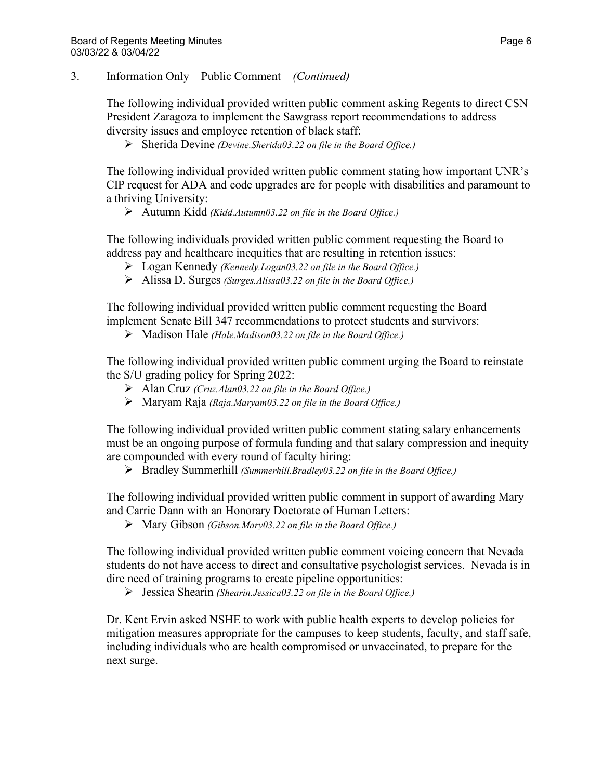The following individual provided written public comment asking Regents to direct CSN President Zaragoza to implement the Sawgrass report recommendations to address diversity issues and employee retention of black staff:

Sherida Devine *(Devine.Sherida03.22 on file in the Board Office.)*

The following individual provided written public comment stating how important UNR's CIP request for ADA and code upgrades are for people with disabilities and paramount to a thriving University:

Autumn Kidd *(Kidd.Autumn03.22 on file in the Board Office.)*

The following individuals provided written public comment requesting the Board to address pay and healthcare inequities that are resulting in retention issues:

- Logan Kennedy *(Kennedy.Logan03.22 on file in the Board Office.)*
- Alissa D. Surges *(Surges.Alissa03.22 on file in the Board Office.)*

The following individual provided written public comment requesting the Board implement Senate Bill 347 recommendations to protect students and survivors:

Madison Hale *(Hale.Madison03.22 on file in the Board Office.)*

The following individual provided written public comment urging the Board to reinstate the S/U grading policy for Spring 2022:

- Alan Cruz *(Cruz.Alan03.22 on file in the Board Office.)*
- Maryam Raja *(Raja.Maryam03.22 on file in the Board Office.)*

The following individual provided written public comment stating salary enhancements must be an ongoing purpose of formula funding and that salary compression and inequity are compounded with every round of faculty hiring:

Bradley Summerhill *(Summerhill.Bradley03.22 on file in the Board Office.)*

The following individual provided written public comment in support of awarding Mary and Carrie Dann with an Honorary Doctorate of Human Letters:

Mary Gibson *(Gibson.Mary03.22 on file in the Board Office.)*

The following individual provided written public comment voicing concern that Nevada students do not have access to direct and consultative psychologist services. Nevada is in dire need of training programs to create pipeline opportunities:

Jessica Shearin *(Shearin.Jessica03.22 on file in the Board Office.)*

Dr. Kent Ervin asked NSHE to work with public health experts to develop policies for mitigation measures appropriate for the campuses to keep students, faculty, and staff safe, including individuals who are health compromised or unvaccinated, to prepare for the next surge.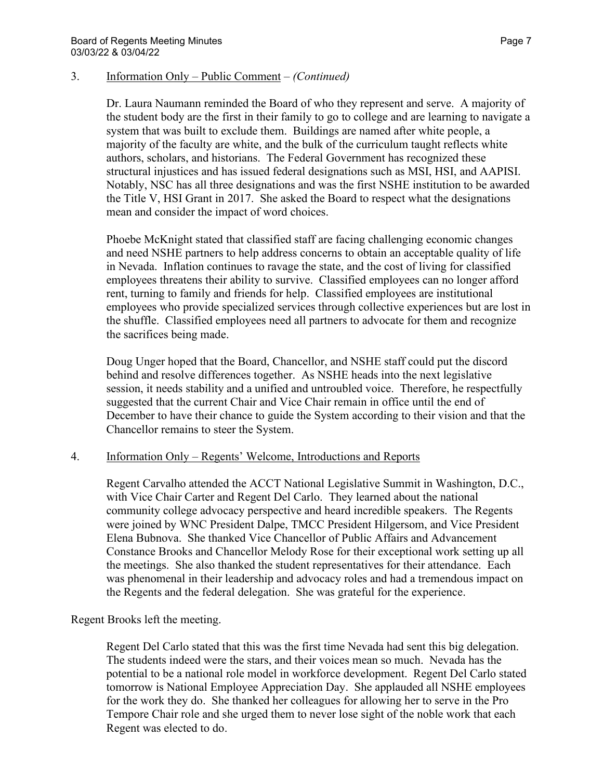Dr. Laura Naumann reminded the Board of who they represent and serve. A majority of the student body are the first in their family to go to college and are learning to navigate a system that was built to exclude them. Buildings are named after white people, a majority of the faculty are white, and the bulk of the curriculum taught reflects white authors, scholars, and historians. The Federal Government has recognized these structural injustices and has issued federal designations such as MSI, HSI, and AAPISI. Notably, NSC has all three designations and was the first NSHE institution to be awarded the Title V, HSI Grant in 2017. She asked the Board to respect what the designations mean and consider the impact of word choices.

Phoebe McKnight stated that classified staff are facing challenging economic changes and need NSHE partners to help address concerns to obtain an acceptable quality of life in Nevada. Inflation continues to ravage the state, and the cost of living for classified employees threatens their ability to survive. Classified employees can no longer afford rent, turning to family and friends for help. Classified employees are institutional employees who provide specialized services through collective experiences but are lost in the shuffle. Classified employees need all partners to advocate for them and recognize the sacrifices being made.

Doug Unger hoped that the Board, Chancellor, and NSHE staff could put the discord behind and resolve differences together. As NSHE heads into the next legislative session, it needs stability and a unified and untroubled voice. Therefore, he respectfully suggested that the current Chair and Vice Chair remain in office until the end of December to have their chance to guide the System according to their vision and that the Chancellor remains to steer the System.

## 4. Information Only – Regents' Welcome, Introductions and Reports

Regent Carvalho attended the ACCT National Legislative Summit in Washington, D.C., with Vice Chair Carter and Regent Del Carlo. They learned about the national community college advocacy perspective and heard incredible speakers. The Regents were joined by WNC President Dalpe, TMCC President Hilgersom, and Vice President Elena Bubnova. She thanked Vice Chancellor of Public Affairs and Advancement Constance Brooks and Chancellor Melody Rose for their exceptional work setting up all the meetings. She also thanked the student representatives for their attendance. Each was phenomenal in their leadership and advocacy roles and had a tremendous impact on the Regents and the federal delegation. She was grateful for the experience.

## Regent Brooks left the meeting.

Regent Del Carlo stated that this was the first time Nevada had sent this big delegation. The students indeed were the stars, and their voices mean so much. Nevada has the potential to be a national role model in workforce development. Regent Del Carlo stated tomorrow is National Employee Appreciation Day. She applauded all NSHE employees for the work they do. She thanked her colleagues for allowing her to serve in the Pro Tempore Chair role and she urged them to never lose sight of the noble work that each Regent was elected to do.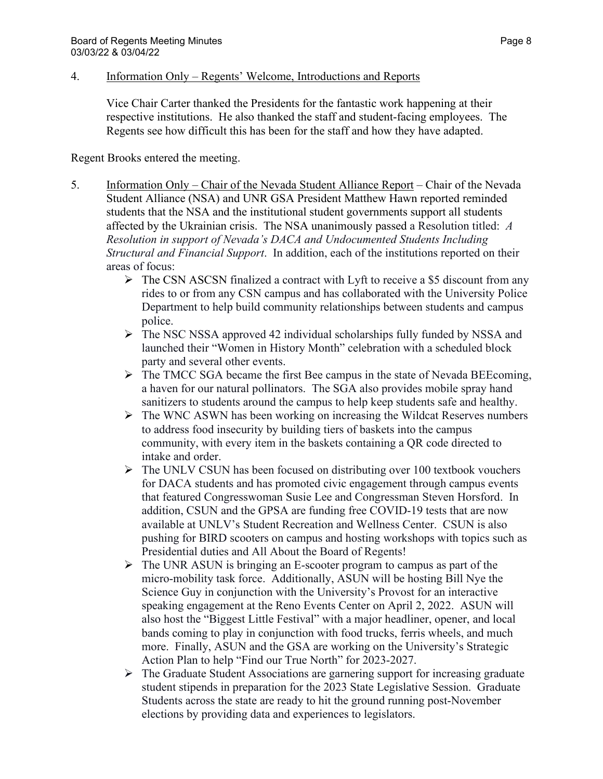### 4. Information Only – Regents' Welcome, Introductions and Reports

Vice Chair Carter thanked the Presidents for the fantastic work happening at their respective institutions. He also thanked the staff and student-facing employees. The Regents see how difficult this has been for the staff and how they have adapted.

Regent Brooks entered the meeting.

- 5. Information Only Chair of the Nevada Student Alliance Report Chair of the Nevada Student Alliance (NSA) and UNR GSA President Matthew Hawn reported reminded students that the NSA and the institutional student governments support all students affected by the Ukrainian crisis. The NSA unanimously passed a Resolution titled: *A Resolution in support of Nevada's DACA and Undocumented Students Including Structural and Financial Support*. In addition, each of the institutions reported on their areas of focus:
	- $\triangleright$  The CSN ASCSN finalized a contract with Lyft to receive a \$5 discount from any rides to or from any CSN campus and has collaborated with the University Police Department to help build community relationships between students and campus police.
	- $\triangleright$  The NSC NSSA approved 42 individual scholarships fully funded by NSSA and launched their "Women in History Month" celebration with a scheduled block party and several other events.
	- $\triangleright$  The TMCC SGA became the first Bee campus in the state of Nevada BEEcoming, a haven for our natural pollinators. The SGA also provides mobile spray hand sanitizers to students around the campus to help keep students safe and healthy.
	- $\triangleright$  The WNC ASWN has been working on increasing the Wildcat Reserves numbers to address food insecurity by building tiers of baskets into the campus community, with every item in the baskets containing a QR code directed to intake and order.
	- $\triangleright$  The UNLV CSUN has been focused on distributing over 100 textbook vouchers for DACA students and has promoted civic engagement through campus events that featured Congresswoman Susie Lee and Congressman Steven Horsford. In addition, CSUN and the GPSA are funding free COVID-19 tests that are now available at UNLV's Student Recreation and Wellness Center. CSUN is also pushing for BIRD scooters on campus and hosting workshops with topics such as Presidential duties and All About the Board of Regents!
	- $\triangleright$  The UNR ASUN is bringing an E-scooter program to campus as part of the micro-mobility task force. Additionally, ASUN will be hosting Bill Nye the Science Guy in conjunction with the University's Provost for an interactive speaking engagement at the Reno Events Center on April 2, 2022. ASUN will also host the "Biggest Little Festival" with a major headliner, opener, and local bands coming to play in conjunction with food trucks, ferris wheels, and much more. Finally, ASUN and the GSA are working on the University's Strategic Action Plan to help "Find our True North" for 2023-2027.
	- $\triangleright$  The Graduate Student Associations are garnering support for increasing graduate student stipends in preparation for the 2023 State Legislative Session. Graduate Students across the state are ready to hit the ground running post-November elections by providing data and experiences to legislators.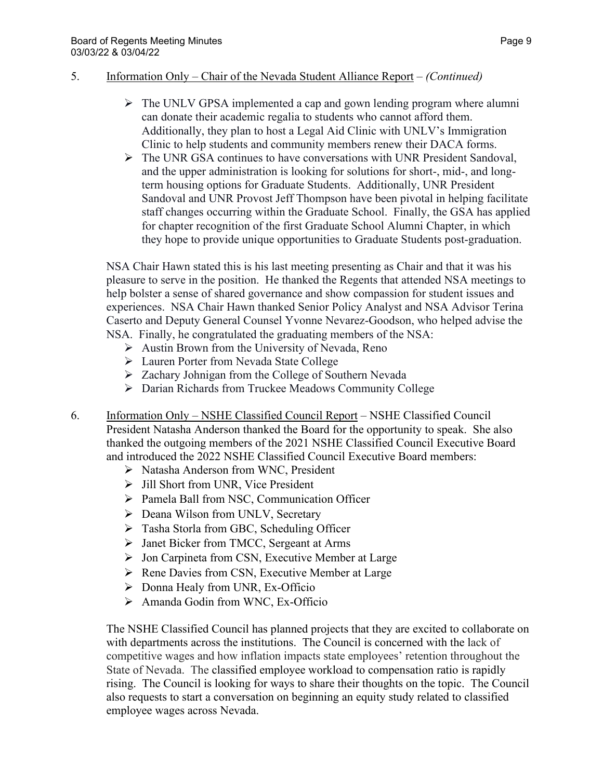### 5. Information Only – Chair of the Nevada Student Alliance Report – *(Continued)*

- $\triangleright$  The UNLV GPSA implemented a cap and gown lending program where alumni can donate their academic regalia to students who cannot afford them. Additionally, they plan to host a Legal Aid Clinic with UNLV's Immigration Clinic to help students and community members renew their DACA forms.
- The UNR GSA continues to have conversations with UNR President Sandoval, and the upper administration is looking for solutions for short-, mid-, and longterm housing options for Graduate Students. Additionally, UNR President Sandoval and UNR Provost Jeff Thompson have been pivotal in helping facilitate staff changes occurring within the Graduate School. Finally, the GSA has applied for chapter recognition of the first Graduate School Alumni Chapter, in which they hope to provide unique opportunities to Graduate Students post-graduation.

NSA Chair Hawn stated this is his last meeting presenting as Chair and that it was his pleasure to serve in the position. He thanked the Regents that attended NSA meetings to help bolster a sense of shared governance and show compassion for student issues and experiences. NSA Chair Hawn thanked Senior Policy Analyst and NSA Advisor Terina Caserto and Deputy General Counsel Yvonne Nevarez-Goodson, who helped advise the NSA. Finally, he congratulated the graduating members of the NSA:

- $\triangleright$  Austin Brown from the University of Nevada, Reno
- Lauren Porter from Nevada State College
- $\triangleright$  Zachary Johnigan from the College of Southern Nevada
- Darian Richards from Truckee Meadows Community College
- 6. Information Only NSHE Classified Council Report NSHE Classified Council President Natasha Anderson thanked the Board for the opportunity to speak. She also thanked the outgoing members of the 2021 NSHE Classified Council Executive Board and introduced the 2022 NSHE Classified Council Executive Board members:
	- $\triangleright$  Natasha Anderson from WNC, President
	- $\triangleright$  Jill Short from UNR, Vice President
	- Pamela Ball from NSC, Communication Officer
	- ▶ Deana Wilson from UNLV, Secretary
	- $\triangleright$  Tasha Storla from GBC, Scheduling Officer
	- Janet Bicker from TMCC, Sergeant at Arms
	- Jon Carpineta from CSN, Executive Member at Large
	- $\triangleright$  Rene Davies from CSN, Executive Member at Large
	- $\triangleright$  Donna Healy from UNR, Ex-Officio
	- $\triangleright$  Amanda Godin from WNC, Ex-Officio

The NSHE Classified Council has planned projects that they are excited to collaborate on with departments across the institutions. The Council is concerned with the lack of competitive wages and how inflation impacts state employees' retention throughout the State of Nevada. The classified employee workload to compensation ratio is rapidly rising. The Council is looking for ways to share their thoughts on the topic. The Council also requests to start a conversation on beginning an equity study related to classified employee wages across Nevada.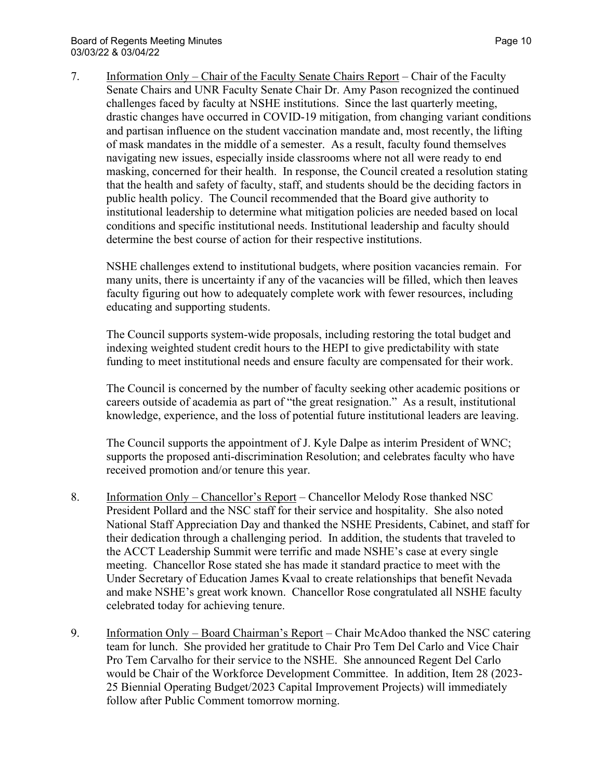7. Information Only – Chair of the Faculty Senate Chairs Report – Chair of the Faculty Senate Chairs and UNR Faculty Senate Chair Dr. Amy Pason recognized the continued challenges faced by faculty at NSHE institutions. Since the last quarterly meeting, drastic changes have occurred in COVID-19 mitigation, from changing variant conditions and partisan influence on the student vaccination mandate and, most recently, the lifting of mask mandates in the middle of a semester. As a result, faculty found themselves navigating new issues, especially inside classrooms where not all were ready to end masking, concerned for their health. In response, the Council created a resolution stating that the health and safety of faculty, staff, and students should be the deciding factors in public health policy. The Council recommended that the Board give authority to institutional leadership to determine what mitigation policies are needed based on local conditions and specific institutional needs. Institutional leadership and faculty should determine the best course of action for their respective institutions.

NSHE challenges extend to institutional budgets, where position vacancies remain. For many units, there is uncertainty if any of the vacancies will be filled, which then leaves faculty figuring out how to adequately complete work with fewer resources, including educating and supporting students.

The Council supports system-wide proposals, including restoring the total budget and indexing weighted student credit hours to the HEPI to give predictability with state funding to meet institutional needs and ensure faculty are compensated for their work.

The Council is concerned by the number of faculty seeking other academic positions or careers outside of academia as part of "the great resignation." As a result, institutional knowledge, experience, and the loss of potential future institutional leaders are leaving.

The Council supports the [appointment of J. Kyle Dalpe as interim President of WNC;](https://nshe.nevada.edu/wp-content/uploads/file/BoardOfRegents/Agendas/2022/03-mar-mtgs/bor-refs/BOR-12a.pdf) supports the [proposed anti-discrimination Resolution;](https://nshe.nevada.edu/wp-content/uploads/file/BoardOfRegents/Agendas/2022/03-mar-mtgs/bor-refs/BOR-37.pdf) and celebrates faculty who have received promotion and/or tenure this year.

- 8. Information Only Chancellor's Report Chancellor Melody Rose thanked NSC President Pollard and the NSC staff for their service and hospitality. She also noted National Staff Appreciation Day and thanked the NSHE Presidents, Cabinet, and staff for their dedication through a challenging period. In addition, the students that traveled to the ACCT Leadership Summit were terrific and made NSHE's case at every single meeting. Chancellor Rose stated she has made it standard practice to meet with the Under Secretary of Education James Kvaal to create relationships that benefit Nevada and make NSHE's great work known. Chancellor Rose congratulated all NSHE faculty celebrated today for achieving tenure.
- 9. Information Only Board Chairman's Report Chair McAdoo thanked the NSC catering team for lunch. She provided her gratitude to Chair Pro Tem Del Carlo and Vice Chair Pro Tem Carvalho for their service to the NSHE. She announced Regent Del Carlo would be Chair of the Workforce Development Committee. In addition, Item 28 (2023- 25 Biennial Operating Budget/2023 Capital Improvement Projects) will immediately follow after Public Comment tomorrow morning.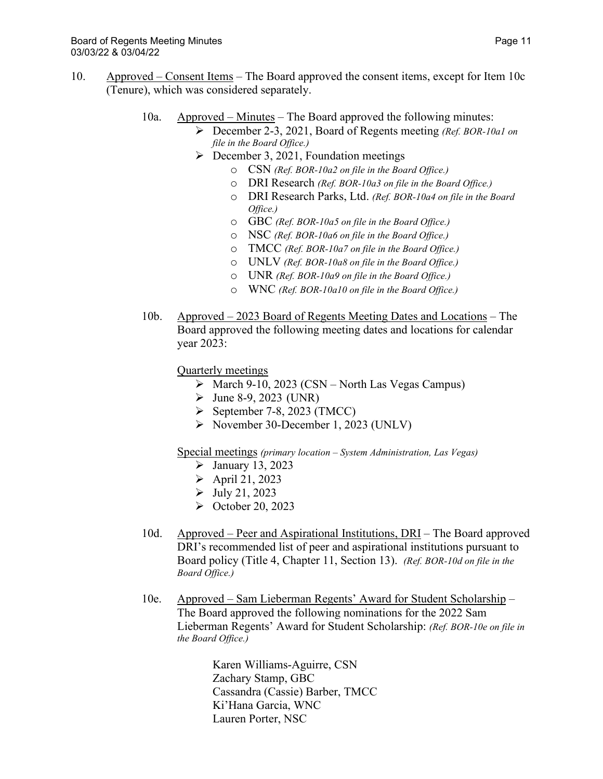- 10. Approved Consent Items The Board approved the consent items, except for Item 10c (Tenure), which was considered separately.
	- 10a. Approved Minutes The Board approved the following minutes:
		- December 2-3, 2021, Board of Regents meeting *(Ref. BOR-10a1 on file in the Board Office.)*
		- $\triangleright$  December 3, 2021, Foundation meetings
			- o CSN *(Ref. BOR-10a2 on file in the Board Office.)*
			- o DRI Research *(Ref. BOR-10a3 on file in the Board Office.)*
			- o DRI Research Parks, Ltd. *(Ref. BOR-10a4 on file in the Board Office.)*
			- o GBC *(Ref. BOR-10a5 on file in the Board Office.)*
			- o NSC *(Ref. BOR-10a6 on file in the Board Office.)*
			- o TMCC *(Ref. BOR-10a7 on file in the Board Office.)*
			- o UNLV *(Ref. BOR-10a8 on file in the Board Office.)*
			- o UNR *(Ref. BOR-10a9 on file in the Board Office.)*
			- o WNC *(Ref. BOR-10a10 on file in the Board Office.)*
	- 10b. Approved 2023 Board of Regents Meeting Dates and Locations The Board approved the following meeting dates and locations for calendar year 2023:

Quarterly meetings

- $\triangleright$  March 9-10, 2023 (CSN North Las Vegas Campus)
- $\triangleright$  June 8-9, 2023 (UNR)
- $\triangleright$  September 7-8, 2023 (TMCC)
- $\triangleright$  November 30-December 1, 2023 (UNLV)

Special meetings *(primary location – System Administration, Las Vegas)*

- $\blacktriangleright$  January 13, 2023
- $\blacktriangleright$  April 21, 2023
- $\blacktriangleright$  July 21, 2023
- $\blacktriangleright$  October 20, 2023
- 10d. Approved Peer and Aspirational Institutions, DRI The Board approved DRI's recommended list of peer and aspirational institutions pursuant to Board policy (Title 4, Chapter 11, Section 13). *(Ref. BOR-10d on file in the Board Office.)*
- 10e. Approved Sam Lieberman Regents' Award for Student Scholarship The Board approved the following nominations for the 2022 Sam Lieberman Regents' Award for Student Scholarship: *(Ref. BOR-10e on file in the Board Office.)*

Karen Williams-Aguirre, CSN Zachary Stamp, GBC Cassandra (Cassie) Barber, TMCC Ki'Hana Garcia, WNC Lauren Porter, NSC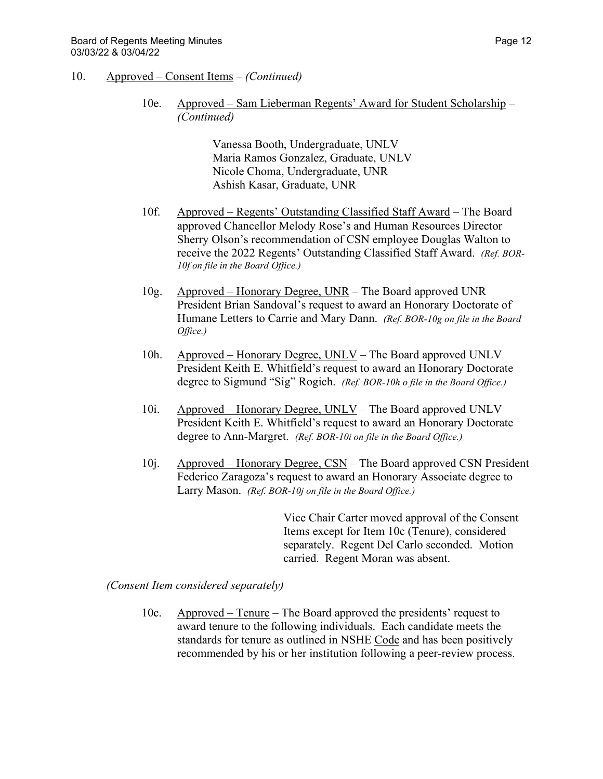- 10. Approved Consent Items *(Continued)* 
	- 10e. Approved Sam Lieberman Regents' Award for Student Scholarship *(Continued)*

Vanessa Booth, Undergraduate, UNLV Maria Ramos Gonzalez, Graduate, UNLV Nicole Choma, Undergraduate, UNR Ashish Kasar, Graduate, UNR

- 10f. Approved Regents' Outstanding Classified Staff Award The Board approved Chancellor Melody Rose's and Human Resources Director Sherry Olson's recommendation of CSN employee Douglas Walton to receive the 2022 Regents' Outstanding Classified Staff Award. *(Ref. BOR-10f on file in the Board Office.)*
- 10g. Approved Honorary Degree, UNR The Board approved UNR President Brian Sandoval's request to award an Honorary Doctorate of Humane Letters to Carrie and Mary Dann. *(Ref. BOR-10g on file in the Board Office.)*
- 10h. Approved Honorary Degree, UNLV The Board approved UNLV President Keith E. Whitfield's request to award an Honorary Doctorate degree to Sigmund "Sig" Rogich. *(Ref. BOR-10h o file in the Board Office.)*
- 10i. Approved Honorary Degree, UNLV The Board approved UNLV President Keith E. Whitfield's request to award an Honorary Doctorate degree to Ann-Margret. *(Ref. BOR-10i on file in the Board Office.)*
- 10j. Approved Honorary Degree, CSN The Board approved CSN President Federico Zaragoza's request to award an Honorary Associate degree to Larry Mason. *(Ref. BOR-10j on file in the Board Office.)*

Vice Chair Carter moved approval of the Consent Items except for Item 10c (Tenure), considered separately. Regent Del Carlo seconded. Motion carried. Regent Moran was absent.

#### *(Consent Item considered separately)*

10c. Approved – Tenure – The Board approved the presidents' request to award tenure to the following individuals. Each candidate meets the standards for tenure as outlined in NSHE Code and has been positively recommended by his or her institution following a peer-review process.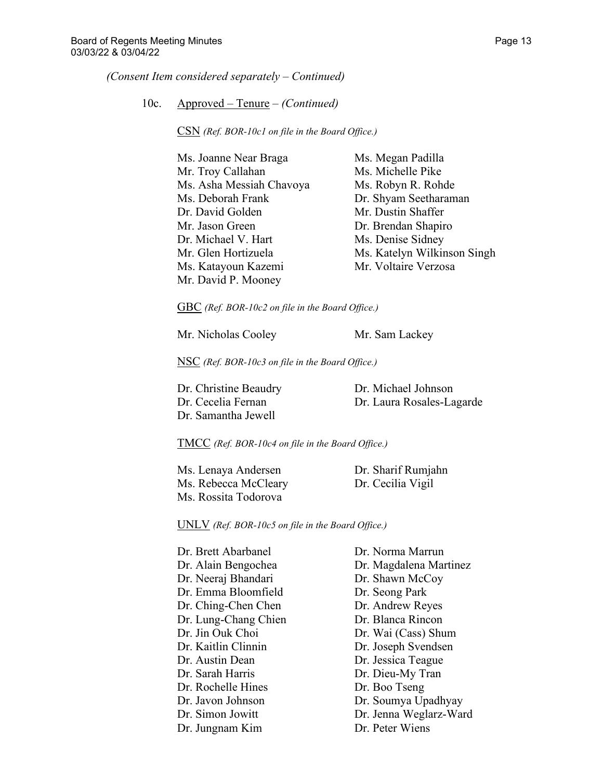*(Consent Item considered separately – Continued)* 

10c. Approved – Tenure – *(Continued)*

CSN *(Ref. BOR-10c1 on file in the Board Office.)*

| Ms. Joanne Near Braga    | Ms. Megan Padilla           |
|--------------------------|-----------------------------|
| Mr. Troy Callahan        | Ms. Michelle Pike           |
| Ms. Asha Messiah Chavoya | Ms. Robyn R. Rohde          |
| Ms. Deborah Frank        | Dr. Shyam Seetharaman       |
| Dr. David Golden         | Mr. Dustin Shaffer          |
| Mr. Jason Green          | Dr. Brendan Shapiro         |
| Dr. Michael V. Hart      | Ms. Denise Sidney           |
| Mr. Glen Hortizuela      | Ms. Katelyn Wilkinson Singh |
| Ms. Katayoun Kazemi      | Mr. Voltaire Verzosa        |
| Mr. David P. Mooney      |                             |

GBC *(Ref. BOR-10c2 on file in the Board Office.)*

Mr. Nicholas Cooley Mr. Sam Lackey

NSC *(Ref. BOR-10c3 on file in the Board Office.)*

| Dr. Christine Beaudry | Dr. Michael Johnson       |
|-----------------------|---------------------------|
| Dr. Cecelia Fernan    | Dr. Laura Rosales-Lagarde |
| Dr. Samantha Jewell   |                           |

TMCC *(Ref. BOR-10c4 on file in the Board Office.)*

| Ms. Lenaya Andersen  | Dr. Sharif Rumjahn |
|----------------------|--------------------|
| Ms. Rebecca McCleary | Dr. Cecilia Vigil  |
| Ms. Rossita Todorova |                    |

UNLV *(Ref. BOR-10c5 on file in the Board Office.)*

| Dr. Brett Abarbanel  | Dr. Norma Marrun       |
|----------------------|------------------------|
| Dr. Alain Bengochea  | Dr. Magdalena Martinez |
| Dr. Neeraj Bhandari  | Dr. Shawn McCoy        |
| Dr. Emma Bloomfield  | Dr. Seong Park         |
| Dr. Ching-Chen Chen  | Dr. Andrew Reyes       |
| Dr. Lung-Chang Chien | Dr. Blanca Rincon      |
| Dr. Jin Ouk Choi     | Dr. Wai (Cass) Shum    |
| Dr. Kaitlin Clinnin  | Dr. Joseph Svendsen    |
| Dr. Austin Dean      | Dr. Jessica Teague     |
| Dr. Sarah Harris     | Dr. Dieu-My Tran       |
| Dr. Rochelle Hines   | Dr. Boo Tseng          |
| Dr. Javon Johnson    | Dr. Soumya Upadhyay    |
| Dr. Simon Jowitt     | Dr. Jenna Weglarz-Ward |
| Dr. Jungnam Kim      | Dr. Peter Wiens        |
|                      |                        |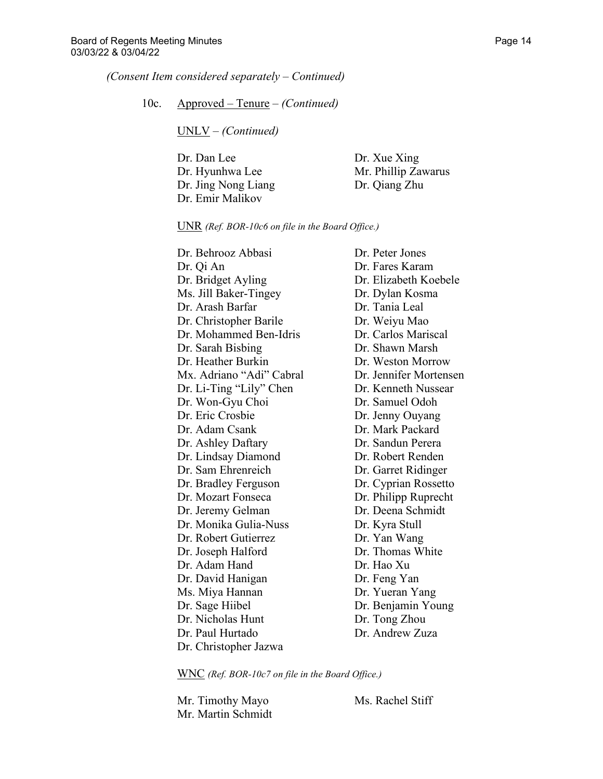*(Consent Item considered separately – Continued)* 

10c. Approved – Tenure – *(Continued)*

UNLV – *(Continued)*

| Dr. Dan Lee         | Dr. Xue Xing        |
|---------------------|---------------------|
| Dr. Hyunhwa Lee     | Mr. Phillip Zawarus |
| Dr. Jing Nong Liang | Dr. Qiang Zhu       |
| Dr. Emir Malikov    |                     |

UNR *(Ref. BOR-10c6 on file in the Board Office.)*

| Dr. Behrooz Abbasi       | Dr. Peter Jones        |
|--------------------------|------------------------|
| Dr. Qi An                | Dr. Fares Karam        |
| Dr. Bridget Ayling       | Dr. Elizabeth Koebele  |
| Ms. Jill Baker-Tingey    | Dr. Dylan Kosma        |
| Dr. Arash Barfar         | Dr. Tania Leal         |
| Dr. Christopher Barile   | Dr. Weiyu Mao          |
| Dr. Mohammed Ben-Idris   | Dr. Carlos Mariscal    |
| Dr. Sarah Bisbing        | Dr. Shawn Marsh        |
| Dr. Heather Burkin       | Dr. Weston Morrow      |
| Mx. Adriano "Adi" Cabral | Dr. Jennifer Mortensen |
| Dr. Li-Ting "Lily" Chen  | Dr. Kenneth Nussear    |
| Dr. Won-Gyu Choi         | Dr. Samuel Odoh        |
| Dr. Eric Crosbie         | Dr. Jenny Ouyang       |
| Dr. Adam Csank           | Dr. Mark Packard       |
| Dr. Ashley Daftary       | Dr. Sandun Perera      |
| Dr. Lindsay Diamond      | Dr. Robert Renden      |
| Dr. Sam Ehrenreich       | Dr. Garret Ridinger    |
| Dr. Bradley Ferguson     | Dr. Cyprian Rossetto   |
| Dr. Mozart Fonseca       | Dr. Philipp Ruprecht   |
| Dr. Jeremy Gelman        | Dr. Deena Schmidt      |
| Dr. Monika Gulia-Nuss    | Dr. Kyra Stull         |
| Dr. Robert Gutierrez     | Dr. Yan Wang           |
| Dr. Joseph Halford       | Dr. Thomas White       |
| Dr. Adam Hand            | Dr. Hao Xu             |
| Dr. David Hanigan        | Dr. Feng Yan           |
| Ms. Miya Hannan          | Dr. Yueran Yang        |
| Dr. Sage Hiibel          | Dr. Benjamin Young     |
| Dr. Nicholas Hunt        | Dr. Tong Zhou          |
| Dr. Paul Hurtado         | Dr. Andrew Zuza        |
| Dr. Christopher Jazwa    |                        |

WNC *(Ref. BOR-10c7 on file in the Board Office.)*

Mr. Timothy Mayo Ms. Rachel Stiff Mr. Martin Schmidt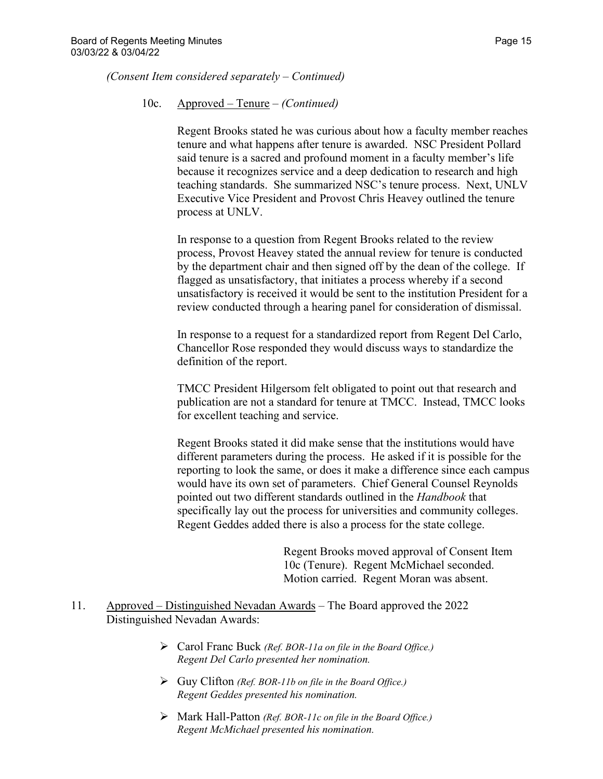*(Consent Item considered separately – Continued)* 

Regent Brooks stated he was curious about how a faculty member reaches tenure and what happens after tenure is awarded. NSC President Pollard said tenure is a sacred and profound moment in a faculty member's life because it recognizes service and a deep dedication to research and high teaching standards. She summarized NSC's tenure process. Next, UNLV Executive Vice President and Provost Chris Heavey outlined the tenure process at UNLV.

In response to a question from Regent Brooks related to the review process, Provost Heavey stated the annual review for tenure is conducted by the department chair and then signed off by the dean of the college. If flagged as unsatisfactory, that initiates a process whereby if a second unsatisfactory is received it would be sent to the institution President for a review conducted through a hearing panel for consideration of dismissal.

In response to a request for a standardized report from Regent Del Carlo, Chancellor Rose responded they would discuss ways to standardize the definition of the report.

TMCC President Hilgersom felt obligated to point out that research and publication are not a standard for tenure at TMCC. Instead, TMCC looks for excellent teaching and service.

Regent Brooks stated it did make sense that the institutions would have different parameters during the process. He asked if it is possible for the reporting to look the same, or does it make a difference since each campus would have its own set of parameters. Chief General Counsel Reynolds pointed out two different standards outlined in the *Handbook* that specifically lay out the process for universities and community colleges. Regent Geddes added there is also a process for the state college.

> Regent Brooks moved approval of Consent Item 10c (Tenure). Regent McMichael seconded. Motion carried. Regent Moran was absent.

- 11. Approved Distinguished Nevadan Awards The Board approved the 2022 Distinguished Nevadan Awards:
	- Carol Franc Buck *(Ref. BOR-11a on file in the Board Office.) Regent Del Carlo presented her nomination.*
	- Guy Clifton *(Ref. BOR-11b on file in the Board Office.) Regent Geddes presented his nomination.*
	- Mark Hall-Patton *(Ref. BOR-11c on file in the Board Office.) Regent McMichael presented his nomination.*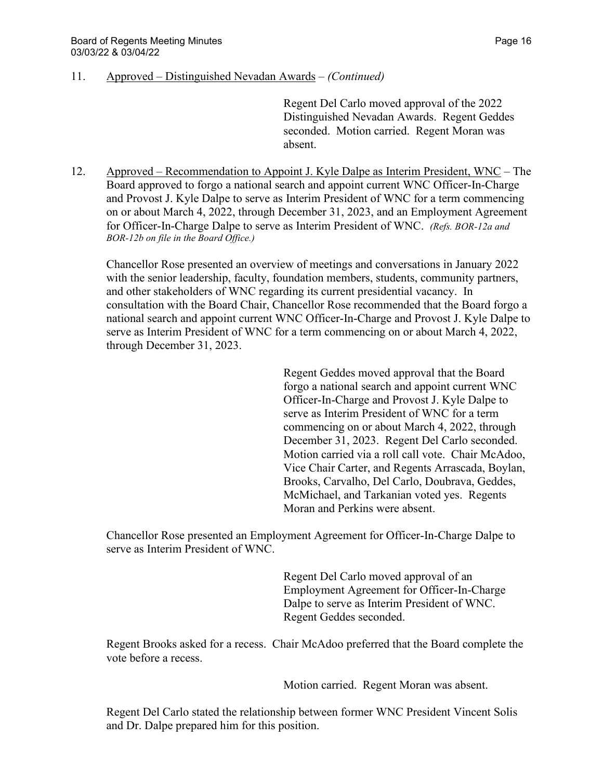#### 11. Approved – Distinguished Nevadan Awards – *(Continued)*

Regent Del Carlo moved approval of the 2022 Distinguished Nevadan Awards. Regent Geddes seconded. Motion carried. Regent Moran was absent.

12. Approved – Recommendation to Appoint J. Kyle Dalpe as Interim President, WNC – The Board approved to forgo a national search and appoint current WNC Officer-In-Charge and Provost J. Kyle Dalpe to serve as Interim President of WNC for a term commencing on or about March 4, 2022, through December 31, 2023, and an Employment Agreement for Officer-In-Charge Dalpe to serve as Interim President of WNC. *(Refs. BOR-12a and BOR-12b on file in the Board Office.)*

Chancellor Rose presented an overview of meetings and conversations in January 2022 with the senior leadership, faculty, foundation members, students, community partners, and other stakeholders of WNC regarding its current presidential vacancy. In consultation with the Board Chair, Chancellor Rose recommended that the Board forgo a national search and appoint current WNC Officer-In-Charge and Provost J. Kyle Dalpe to serve as Interim President of WNC for a term commencing on or about March 4, 2022, through December 31, 2023.

> Regent Geddes moved approval that the Board forgo a national search and appoint current WNC Officer-In-Charge and Provost J. Kyle Dalpe to serve as Interim President of WNC for a term commencing on or about March 4, 2022, through December 31, 2023. Regent Del Carlo seconded. Motion carried via a roll call vote. Chair McAdoo, Vice Chair Carter, and Regents Arrascada, Boylan, Brooks, Carvalho, Del Carlo, Doubrava, Geddes, McMichael, and Tarkanian voted yes. Regents Moran and Perkins were absent.

Chancellor Rose presented an Employment Agreement for Officer-In-Charge Dalpe to serve as Interim President of WNC.

> Regent Del Carlo moved approval of an Employment Agreement for Officer-In-Charge Dalpe to serve as Interim President of WNC. Regent Geddes seconded.

Regent Brooks asked for a recess. Chair McAdoo preferred that the Board complete the vote before a recess.

Motion carried. Regent Moran was absent.

Regent Del Carlo stated the relationship between former WNC President Vincent Solis and Dr. Dalpe prepared him for this position.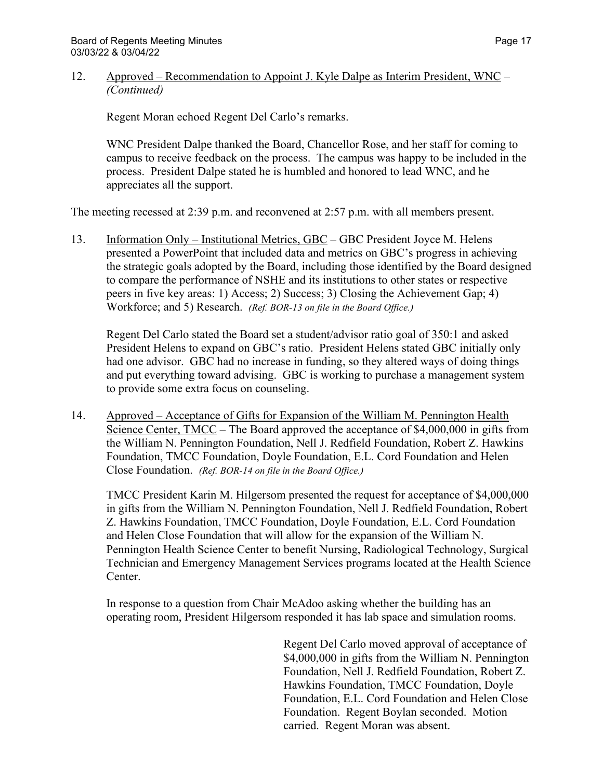12. Approved – Recommendation to Appoint J. Kyle Dalpe as Interim President, WNC – *(Continued)*

Regent Moran echoed Regent Del Carlo's remarks.

WNC President Dalpe thanked the Board, Chancellor Rose, and her staff for coming to campus to receive feedback on the process. The campus was happy to be included in the process. President Dalpe stated he is humbled and honored to lead WNC, and he appreciates all the support.

The meeting recessed at 2:39 p.m. and reconvened at 2:57 p.m. with all members present.

13. Information Only – Institutional Metrics, GBC – GBC President Joyce M. Helens presented a PowerPoint that included data and metrics on GBC's progress in achieving the strategic goals adopted by the Board, including those identified by the Board designed to compare the performance of NSHE and its institutions to other states or respective peers in five key areas: 1) Access; 2) Success; 3) Closing the Achievement Gap; 4) Workforce; and 5) Research. *(Ref. BOR-13 on file in the Board Office.)*

Regent Del Carlo stated the Board set a student/advisor ratio goal of 350:1 and asked President Helens to expand on GBC's ratio. President Helens stated GBC initially only had one advisor. GBC had no increase in funding, so they altered ways of doing things and put everything toward advising. GBC is working to purchase a management system to provide some extra focus on counseling.

14. Approved – Acceptance of Gifts for Expansion of the William M. Pennington Health Science Center, TMCC – The Board approved the acceptance of \$4,000,000 in gifts from the William N. Pennington Foundation, Nell J. Redfield Foundation, Robert Z. Hawkins Foundation, TMCC Foundation, Doyle Foundation, E.L. Cord Foundation and Helen Close Foundation. *(Ref. BOR-14 on file in the Board Office.)*

TMCC President Karin M. Hilgersom presented the request for acceptance of \$4,000,000 in gifts from the William N. Pennington Foundation, Nell J. Redfield Foundation, Robert Z. Hawkins Foundation, TMCC Foundation, Doyle Foundation, E.L. Cord Foundation and Helen Close Foundation that will allow for the expansion of the William N. Pennington Health Science Center to benefit Nursing, Radiological Technology, Surgical Technician and Emergency Management Services programs located at the Health Science Center.

In response to a question from Chair McAdoo asking whether the building has an operating room, President Hilgersom responded it has lab space and simulation rooms.

> Regent Del Carlo moved approval of acceptance of \$4,000,000 in gifts from the William N. Pennington Foundation, Nell J. Redfield Foundation, Robert Z. Hawkins Foundation, TMCC Foundation, Doyle Foundation, E.L. Cord Foundation and Helen Close Foundation. Regent Boylan seconded. Motion carried. Regent Moran was absent.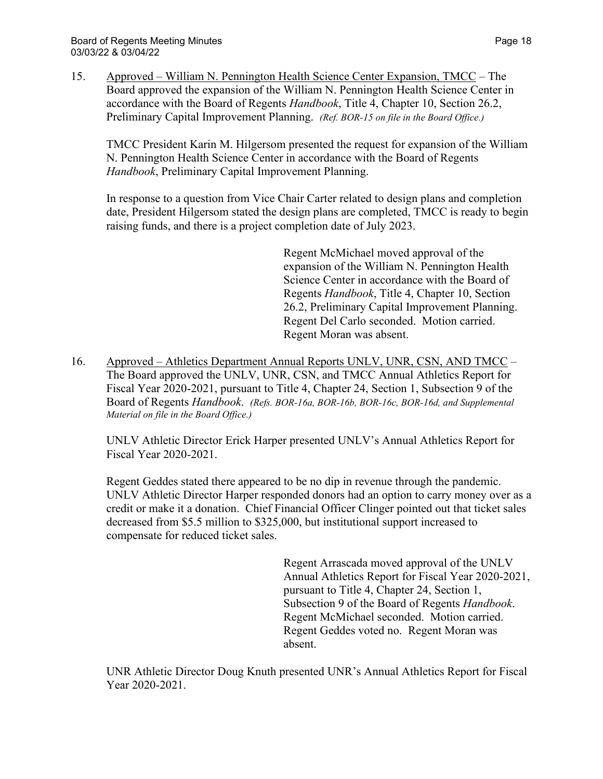15. Approved – William N. Pennington Health Science Center Expansion, TMCC – The Board approved the expansion of the William N. Pennington Health Science Center in accordance with the Board of Regents *Handbook*, Title 4, Chapter 10, Section 26.2, Preliminary Capital Improvement Planning. *(Ref. BOR-15 on file in the Board Office.)*

TMCC President Karin M. Hilgersom presented the request for expansion of the William N. Pennington Health Science Center in accordance with the Board of Regents *Handbook*, Preliminary Capital Improvement Planning.

In response to a question from Vice Chair Carter related to design plans and completion date, President Hilgersom stated the design plans are completed, TMCC is ready to begin raising funds, and there is a project completion date of July 2023.

> Regent McMichael moved approval of the expansion of the William N. Pennington Health Science Center in accordance with the Board of Regents *Handbook*, Title 4, Chapter 10, Section 26.2, Preliminary Capital Improvement Planning. Regent Del Carlo seconded. Motion carried. Regent Moran was absent.

16. Approved – Athletics Department Annual Reports UNLV, UNR, CSN, AND TMCC – The Board approved the UNLV, UNR, CSN, and TMCC Annual Athletics Report for Fiscal Year 2020-2021, pursuant to Title 4, Chapter 24, Section 1, Subsection 9 of the Board of Regents *Handbook*. *(Refs. BOR-16a, BOR-16b, BOR-16c, BOR-16d, and Supplemental Material on file in the Board Office.)*

UNLV Athletic Director Erick Harper presented UNLV's Annual Athletics Report for Fiscal Year 2020-2021.

Regent Geddes stated there appeared to be no dip in revenue through the pandemic. UNLV Athletic Director Harper responded donors had an option to carry money over as a credit or make it a donation. Chief Financial Officer Clinger pointed out that ticket sales decreased from \$5.5 million to \$325,000, but institutional support increased to compensate for reduced ticket sales.

> Regent Arrascada moved approval of the UNLV Annual Athletics Report for Fiscal Year 2020-2021, pursuant to Title 4, Chapter 24, Section 1, Subsection 9 of the Board of Regents *Handbook*. Regent McMichael seconded. Motion carried. Regent Geddes voted no. Regent Moran was absent.

UNR Athletic Director Doug Knuth presented UNR's Annual Athletics Report for Fiscal Year 2020-2021.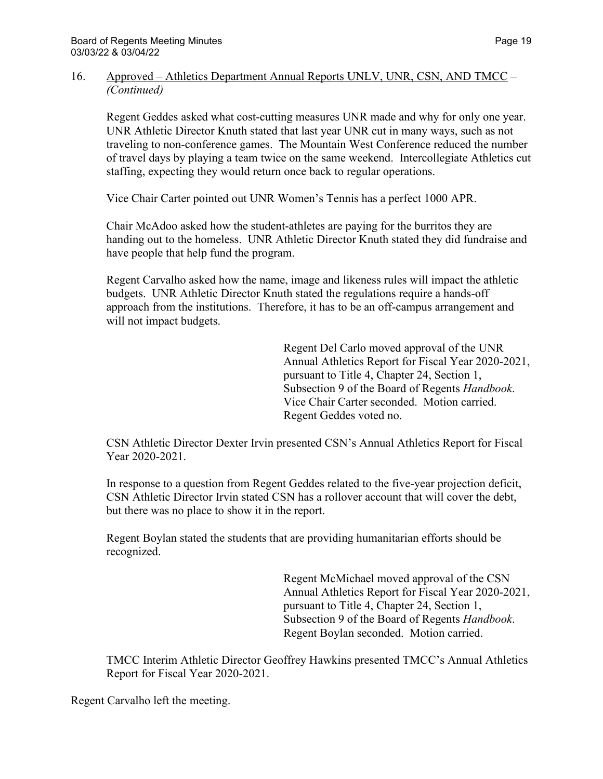### 16. Approved – Athletics Department Annual Reports UNLV, UNR, CSN, AND TMCC – *(Continued)*

Regent Geddes asked what cost-cutting measures UNR made and why for only one year. UNR Athletic Director Knuth stated that last year UNR cut in many ways, such as not traveling to non-conference games. The Mountain West Conference reduced the number of travel days by playing a team twice on the same weekend. Intercollegiate Athletics cut staffing, expecting they would return once back to regular operations.

Vice Chair Carter pointed out UNR Women's Tennis has a perfect 1000 APR.

Chair McAdoo asked how the student-athletes are paying for the burritos they are handing out to the homeless. UNR Athletic Director Knuth stated they did fundraise and have people that help fund the program.

Regent Carvalho asked how the name, image and likeness rules will impact the athletic budgets. UNR Athletic Director Knuth stated the regulations require a hands-off approach from the institutions. Therefore, it has to be an off-campus arrangement and will not impact budgets.

> Regent Del Carlo moved approval of the UNR Annual Athletics Report for Fiscal Year 2020-2021, pursuant to Title 4, Chapter 24, Section 1, Subsection 9 of the Board of Regents *Handbook*. Vice Chair Carter seconded. Motion carried. Regent Geddes voted no.

CSN Athletic Director Dexter Irvin presented CSN's Annual Athletics Report for Fiscal Year 2020-2021.

In response to a question from Regent Geddes related to the five-year projection deficit, CSN Athletic Director Irvin stated CSN has a rollover account that will cover the debt, but there was no place to show it in the report.

Regent Boylan stated the students that are providing humanitarian efforts should be recognized.

> Regent McMichael moved approval of the CSN Annual Athletics Report for Fiscal Year 2020-2021, pursuant to Title 4, Chapter 24, Section 1, Subsection 9 of the Board of Regents *Handbook*. Regent Boylan seconded. Motion carried.

TMCC Interim Athletic Director Geoffrey Hawkins presented TMCC's Annual Athletics Report for Fiscal Year 2020-2021.

Regent Carvalho left the meeting.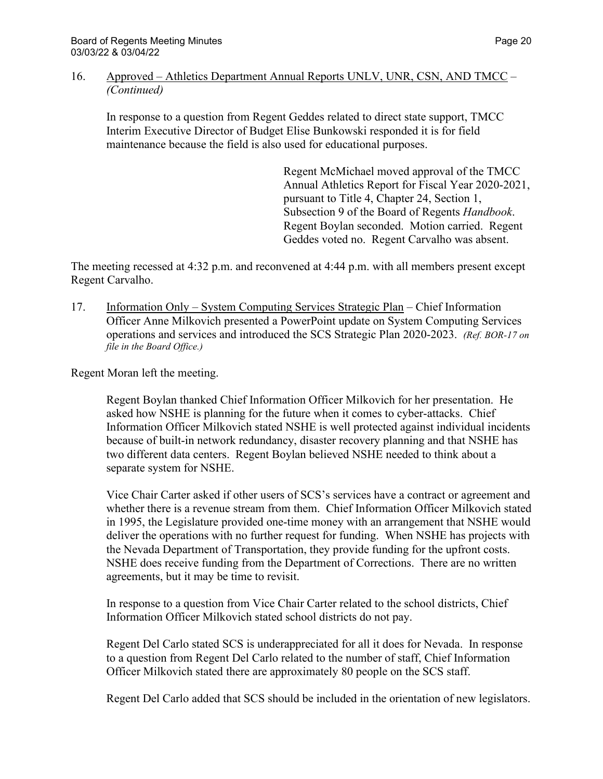### 16. Approved – Athletics Department Annual Reports UNLV, UNR, CSN, AND TMCC – *(Continued)*

In response to a question from Regent Geddes related to direct state support, TMCC Interim Executive Director of Budget Elise Bunkowski responded it is for field maintenance because the field is also used for educational purposes.

> Regent McMichael moved approval of the TMCC Annual Athletics Report for Fiscal Year 2020-2021, pursuant to Title 4, Chapter 24, Section 1, Subsection 9 of the Board of Regents *Handbook*. Regent Boylan seconded. Motion carried. Regent Geddes voted no. Regent Carvalho was absent.

The meeting recessed at 4:32 p.m. and reconvened at 4:44 p.m. with all members present except Regent Carvalho.

17. Information Only – System Computing Services Strategic Plan – Chief Information Officer Anne Milkovich presented a PowerPoint update on System Computing Services operations and services and introduced the SCS Strategic Plan 2020-2023. *(Ref. BOR-17 on file in the Board Office.)*

Regent Moran left the meeting.

Regent Boylan thanked Chief Information Officer Milkovich for her presentation. He asked how NSHE is planning for the future when it comes to cyber-attacks. Chief Information Officer Milkovich stated NSHE is well protected against individual incidents because of built-in network redundancy, disaster recovery planning and that NSHE has two different data centers. Regent Boylan believed NSHE needed to think about a separate system for NSHE.

Vice Chair Carter asked if other users of SCS's services have a contract or agreement and whether there is a revenue stream from them. Chief Information Officer Milkovich stated in 1995, the Legislature provided one-time money with an arrangement that NSHE would deliver the operations with no further request for funding. When NSHE has projects with the Nevada Department of Transportation, they provide funding for the upfront costs. NSHE does receive funding from the Department of Corrections. There are no written agreements, but it may be time to revisit.

In response to a question from Vice Chair Carter related to the school districts, Chief Information Officer Milkovich stated school districts do not pay.

Regent Del Carlo stated SCS is underappreciated for all it does for Nevada. In response to a question from Regent Del Carlo related to the number of staff, Chief Information Officer Milkovich stated there are approximately 80 people on the SCS staff.

Regent Del Carlo added that SCS should be included in the orientation of new legislators.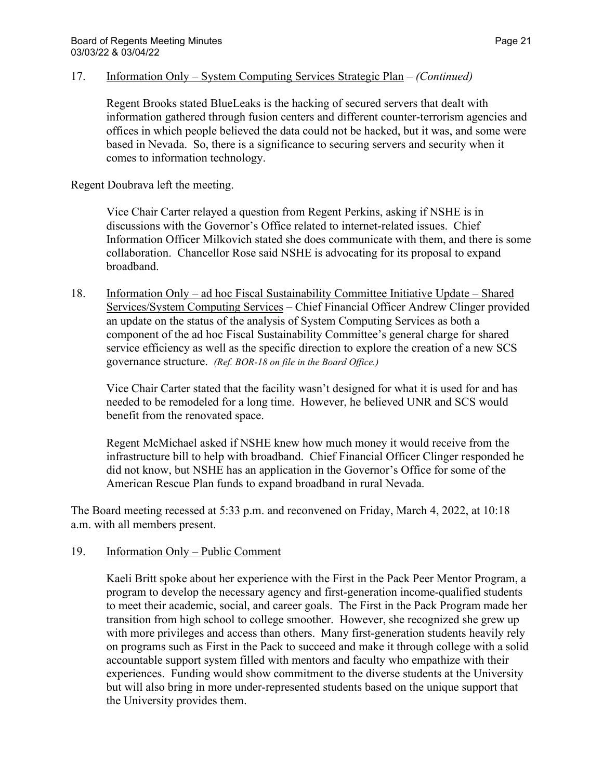Regent Brooks stated BlueLeaks is the hacking of secured servers that dealt with information gathered through fusion centers and different counter-terrorism agencies and offices in which people believed the data could not be hacked, but it was, and some were based in Nevada. So, there is a significance to securing servers and security when it comes to information technology.

Regent Doubrava left the meeting.

Vice Chair Carter relayed a question from Regent Perkins, asking if NSHE is in discussions with the Governor's Office related to internet-related issues. Chief Information Officer Milkovich stated she does communicate with them, and there is some collaboration. Chancellor Rose said NSHE is advocating for its proposal to expand broadband.

18. Information Only – ad hoc Fiscal Sustainability Committee Initiative Update – Shared Services/System Computing Services – Chief Financial Officer Andrew Clinger provided an update on the status of the analysis of System Computing Services as both a component of the ad hoc Fiscal Sustainability Committee's general charge for shared service efficiency as well as the specific direction to explore the creation of a new SCS governance structure. *(Ref. BOR-18 on file in the Board Office.)*

Vice Chair Carter stated that the facility wasn't designed for what it is used for and has needed to be remodeled for a long time. However, he believed UNR and SCS would benefit from the renovated space.

Regent McMichael asked if NSHE knew how much money it would receive from the infrastructure bill to help with broadband. Chief Financial Officer Clinger responded he did not know, but NSHE has an application in the Governor's Office for some of the American Rescue Plan funds to expand broadband in rural Nevada.

The Board meeting recessed at 5:33 p.m. and reconvened on Friday, March 4, 2022, at 10:18 a.m. with all members present.

# 19. Information Only – Public Comment

Kaeli Britt spoke about her experience with the First in the Pack Peer Mentor Program, a program to develop the necessary agency and first-generation income-qualified students to meet their academic, social, and career goals. The First in the Pack Program made her transition from high school to college smoother. However, she recognized she grew up with more privileges and access than others. Many first-generation students heavily rely on programs such as First in the Pack to succeed and make it through college with a solid accountable support system filled with mentors and faculty who empathize with their experiences. Funding would show commitment to the diverse students at the University but will also bring in more under-represented students based on the unique support that the University provides them.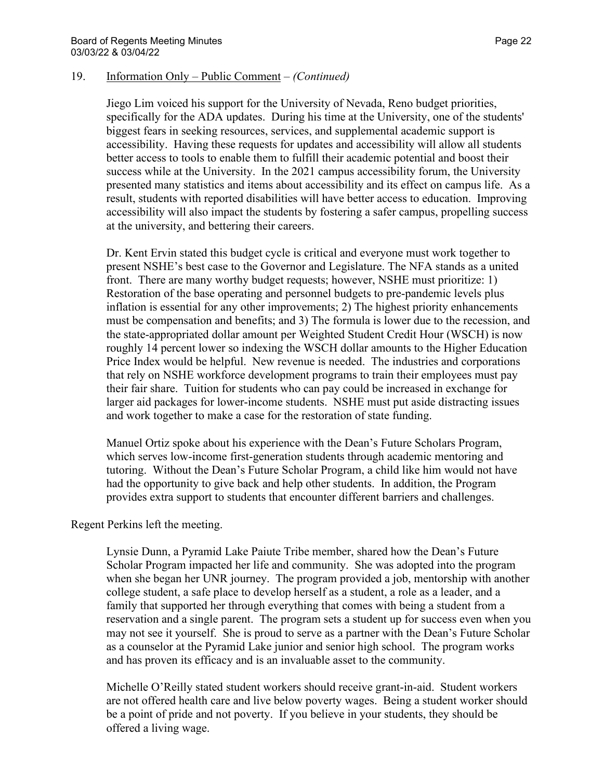Jiego Lim voiced his support for the University of Nevada, Reno budget priorities, specifically for the ADA updates. During his time at the University, one of the students' biggest fears in seeking resources, services, and supplemental academic support is accessibility. Having these requests for updates and accessibility will allow all students better access to tools to enable them to fulfill their academic potential and boost their success while at the University. In the 2021 campus accessibility forum, the University presented many statistics and items about accessibility and its effect on campus life. As a result, students with reported disabilities will have better access to education. Improving accessibility will also impact the students by fostering a safer campus, propelling success at the university, and bettering their careers.

Dr. Kent Ervin stated this budget cycle is critical and everyone must work together to present NSHE's best case to the Governor and Legislature. The NFA stands as a united front. There are many worthy budget requests; however, NSHE must prioritize: 1) Restoration of the base operating and personnel budgets to pre-pandemic levels plus inflation is essential for any other improvements; 2) The highest priority enhancements must be compensation and benefits; and 3) The formula is lower due to the recession, and the state-appropriated dollar amount per Weighted Student Credit Hour (WSCH) is now roughly 14 percent lower so indexing the WSCH dollar amounts to the Higher Education Price Index would be helpful. New revenue is needed. The industries and corporations that rely on NSHE workforce development programs to train their employees must pay their fair share. Tuition for students who can pay could be increased in exchange for larger aid packages for lower-income students. NSHE must put aside distracting issues and work together to make a case for the restoration of state funding.

Manuel Ortiz spoke about his experience with the Dean's Future Scholars Program, which serves low-income first-generation students through academic mentoring and tutoring. Without the Dean's Future Scholar Program, a child like him would not have had the opportunity to give back and help other students. In addition, the Program provides extra support to students that encounter different barriers and challenges.

#### Regent Perkins left the meeting.

Lynsie Dunn, a Pyramid Lake Paiute Tribe member, shared how the Dean's Future Scholar Program impacted her life and community. She was adopted into the program when she began her UNR journey. The program provided a job, mentorship with another college student, a safe place to develop herself as a student, a role as a leader, and a family that supported her through everything that comes with being a student from a reservation and a single parent. The program sets a student up for success even when you may not see it yourself. She is proud to serve as a partner with the Dean's Future Scholar as a counselor at the Pyramid Lake junior and senior high school. The program works and has proven its efficacy and is an invaluable asset to the community.

Michelle O'Reilly stated student workers should receive grant-in-aid. Student workers are not offered health care and live below poverty wages. Being a student worker should be a point of pride and not poverty. If you believe in your students, they should be offered a living wage.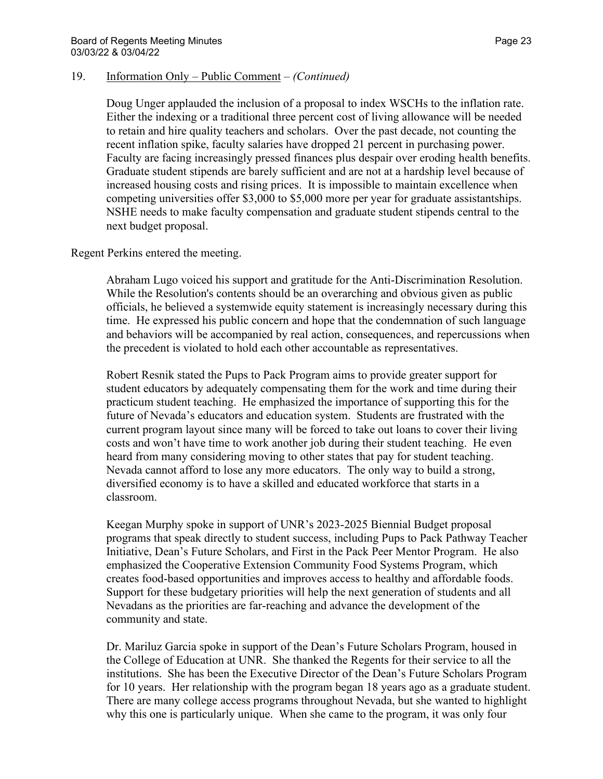Doug Unger applauded the inclusion of a proposal to index WSCHs to the inflation rate. Either the indexing or a traditional three percent cost of living allowance will be needed to retain and hire quality teachers and scholars. Over the past decade, not counting the recent inflation spike, faculty salaries have dropped 21 percent in purchasing power. Faculty are facing increasingly pressed finances plus despair over eroding health benefits. Graduate student stipends are barely sufficient and are not at a hardship level because of increased housing costs and rising prices. It is impossible to maintain excellence when competing universities offer \$3,000 to \$5,000 more per year for graduate assistantships. NSHE needs to make faculty compensation and graduate student stipends central to the next budget proposal.

### Regent Perkins entered the meeting.

Abraham Lugo voiced his support and gratitude for the Anti-Discrimination Resolution. While the Resolution's contents should be an overarching and obvious given as public officials, he believed a systemwide equity statement is increasingly necessary during this time. He expressed his public concern and hope that the condemnation of such language and behaviors will be accompanied by real action, consequences, and repercussions when the precedent is violated to hold each other accountable as representatives.

Robert Resnik stated the Pups to Pack Program aims to provide greater support for student educators by adequately compensating them for the work and time during their practicum student teaching. He emphasized the importance of supporting this for the future of Nevada's educators and education system. Students are frustrated with the current program layout since many will be forced to take out loans to cover their living costs and won't have time to work another job during their student teaching. He even heard from many considering moving to other states that pay for student teaching. Nevada cannot afford to lose any more educators. The only way to build a strong, diversified economy is to have a skilled and educated workforce that starts in a classroom.

Keegan Murphy spoke in support of UNR's 2023-2025 Biennial Budget proposal programs that speak directly to student success, including Pups to Pack Pathway Teacher Initiative, Dean's Future Scholars, and First in the Pack Peer Mentor Program. He also emphasized the Cooperative Extension Community Food Systems Program, which creates food-based opportunities and improves access to healthy and affordable foods. Support for these budgetary priorities will help the next generation of students and all Nevadans as the priorities are far-reaching and advance the development of the community and state.

Dr. Mariluz Garcia spoke in support of the Dean's Future Scholars Program, housed in the College of Education at UNR. She thanked the Regents for their service to all the institutions. She has been the Executive Director of the Dean's Future Scholars Program for 10 years. Her relationship with the program began 18 years ago as a graduate student. There are many college access programs throughout Nevada, but she wanted to highlight why this one is particularly unique. When she came to the program, it was only four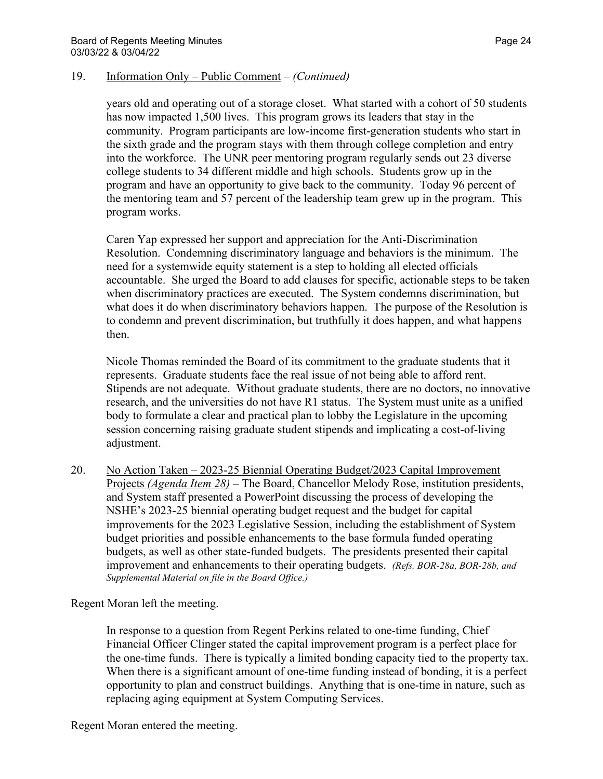years old and operating out of a storage closet. What started with a cohort of 50 students has now impacted 1,500 lives. This program grows its leaders that stay in the community. Program participants are low-income first-generation students who start in the sixth grade and the program stays with them through college completion and entry into the workforce. The UNR peer mentoring program regularly sends out 23 diverse college students to 34 different middle and high schools. Students grow up in the program and have an opportunity to give back to the community. Today 96 percent of the mentoring team and 57 percent of the leadership team grew up in the program. This program works.

Caren Yap expressed her support and appreciation for the Anti-Discrimination Resolution. Condemning discriminatory language and behaviors is the minimum. The need for a systemwide equity statement is a step to holding all elected officials accountable. She urged the Board to add clauses for specific, actionable steps to be taken when discriminatory practices are executed. The System condemns discrimination, but what does it do when discriminatory behaviors happen. The purpose of the Resolution is to condemn and prevent discrimination, but truthfully it does happen, and what happens then.

Nicole Thomas reminded the Board of its commitment to the graduate students that it represents. Graduate students face the real issue of not being able to afford rent. Stipends are not adequate. Without graduate students, there are no doctors, no innovative research, and the universities do not have R1 status. The System must unite as a unified body to formulate a clear and practical plan to lobby the Legislature in the upcoming session concerning raising graduate student stipends and implicating a cost-of-living adjustment.

20. No Action Taken – 2023-25 Biennial Operating Budget/2023 Capital Improvement Projects *(Agenda Item 28)* – The Board, Chancellor Melody Rose, institution presidents, and System staff presented a PowerPoint discussing the process of developing the NSHE's 2023-25 biennial operating budget request and the budget for capital improvements for the 2023 Legislative Session, including the establishment of System budget priorities and possible enhancements to the base formula funded operating budgets, as well as other state-funded budgets. The presidents presented their capital improvement and enhancements to their operating budgets. *(Refs. BOR-28a, BOR-28b, and Supplemental Material on file in the Board Office.)*

Regent Moran left the meeting.

In response to a question from Regent Perkins related to one-time funding, Chief Financial Officer Clinger stated the capital improvement program is a perfect place for the one-time funds. There is typically a limited bonding capacity tied to the property tax. When there is a significant amount of one-time funding instead of bonding, it is a perfect opportunity to plan and construct buildings. Anything that is one-time in nature, such as replacing aging equipment at System Computing Services.

Regent Moran entered the meeting.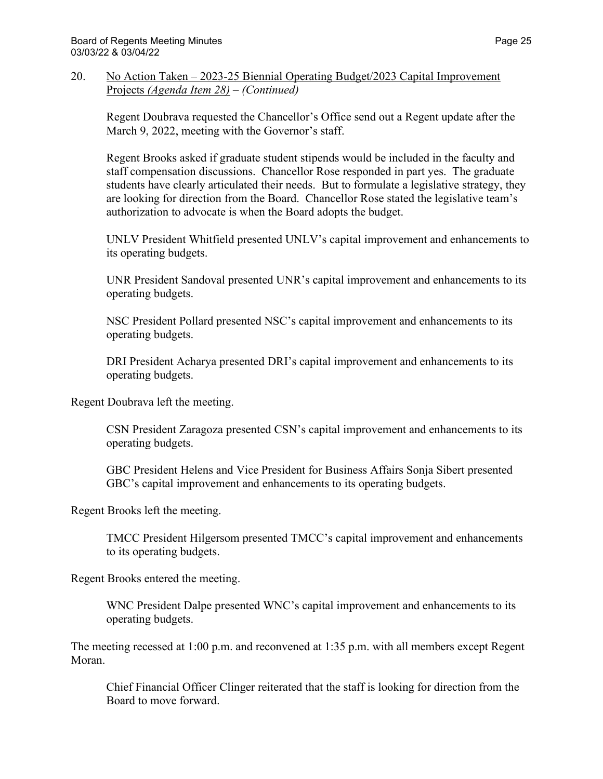20. No Action Taken – 2023-25 Biennial Operating Budget/2023 Capital Improvement Projects *(Agenda Item 28)* – *(Continued)*

Regent Doubrava requested the Chancellor's Office send out a Regent update after the March 9, 2022, meeting with the Governor's staff.

Regent Brooks asked if graduate student stipends would be included in the faculty and staff compensation discussions. Chancellor Rose responded in part yes. The graduate students have clearly articulated their needs. But to formulate a legislative strategy, they are looking for direction from the Board. Chancellor Rose stated the legislative team's authorization to advocate is when the Board adopts the budget.

UNLV President Whitfield presented UNLV's capital improvement and enhancements to its operating budgets.

UNR President Sandoval presented UNR's capital improvement and enhancements to its operating budgets.

NSC President Pollard presented NSC's capital improvement and enhancements to its operating budgets.

DRI President Acharya presented DRI's capital improvement and enhancements to its operating budgets.

Regent Doubrava left the meeting.

CSN President Zaragoza presented CSN's capital improvement and enhancements to its operating budgets.

GBC President Helens and Vice President for Business Affairs Sonja Sibert presented GBC's capital improvement and enhancements to its operating budgets.

Regent Brooks left the meeting.

TMCC President Hilgersom presented TMCC's capital improvement and enhancements to its operating budgets.

Regent Brooks entered the meeting.

WNC President Dalpe presented WNC's capital improvement and enhancements to its operating budgets.

The meeting recessed at 1:00 p.m. and reconvened at 1:35 p.m. with all members except Regent Moran.

Chief Financial Officer Clinger reiterated that the staff is looking for direction from the Board to move forward.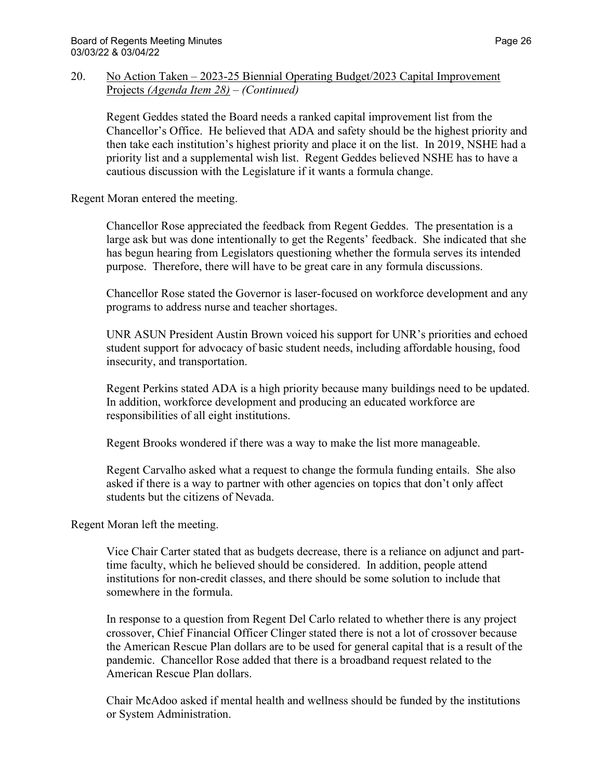# 20. No Action Taken – 2023-25 Biennial Operating Budget/2023 Capital Improvement Projects *(Agenda Item 28)* – *(Continued)*

Regent Geddes stated the Board needs a ranked capital improvement list from the Chancellor's Office. He believed that ADA and safety should be the highest priority and then take each institution's highest priority and place it on the list. In 2019, NSHE had a priority list and a supplemental wish list. Regent Geddes believed NSHE has to have a cautious discussion with the Legislature if it wants a formula change.

Regent Moran entered the meeting.

Chancellor Rose appreciated the feedback from Regent Geddes. The presentation is a large ask but was done intentionally to get the Regents' feedback. She indicated that she has begun hearing from Legislators questioning whether the formula serves its intended purpose. Therefore, there will have to be great care in any formula discussions.

Chancellor Rose stated the Governor is laser-focused on workforce development and any programs to address nurse and teacher shortages.

UNR ASUN President Austin Brown voiced his support for UNR's priorities and echoed student support for advocacy of basic student needs, including affordable housing, food insecurity, and transportation.

Regent Perkins stated ADA is a high priority because many buildings need to be updated. In addition, workforce development and producing an educated workforce are responsibilities of all eight institutions.

Regent Brooks wondered if there was a way to make the list more manageable.

Regent Carvalho asked what a request to change the formula funding entails. She also asked if there is a way to partner with other agencies on topics that don't only affect students but the citizens of Nevada.

Regent Moran left the meeting.

Vice Chair Carter stated that as budgets decrease, there is a reliance on adjunct and parttime faculty, which he believed should be considered. In addition, people attend institutions for non-credit classes, and there should be some solution to include that somewhere in the formula.

In response to a question from Regent Del Carlo related to whether there is any project crossover, Chief Financial Officer Clinger stated there is not a lot of crossover because the American Rescue Plan dollars are to be used for general capital that is a result of the pandemic. Chancellor Rose added that there is a broadband request related to the American Rescue Plan dollars.

Chair McAdoo asked if mental health and wellness should be funded by the institutions or System Administration.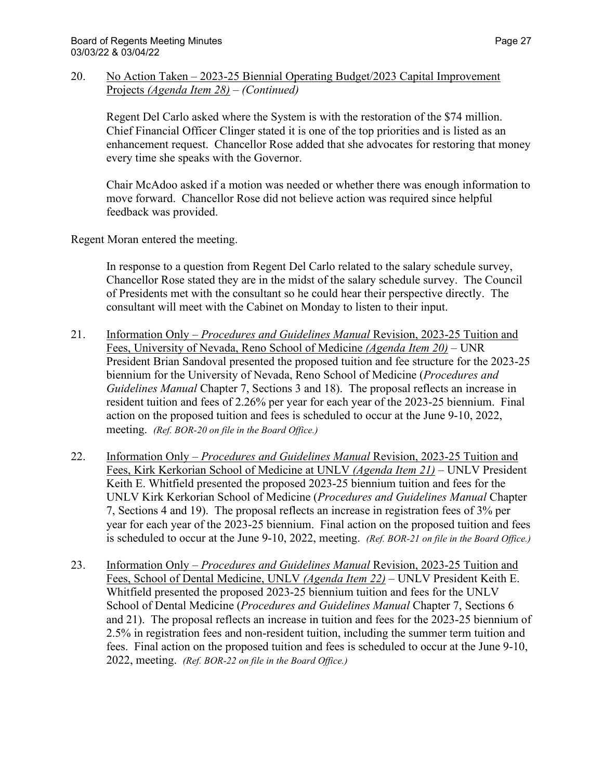20. No Action Taken – 2023-25 Biennial Operating Budget/2023 Capital Improvement Projects *(Agenda Item 28)* – *(Continued)*

Regent Del Carlo asked where the System is with the restoration of the \$74 million. Chief Financial Officer Clinger stated it is one of the top priorities and is listed as an enhancement request. Chancellor Rose added that she advocates for restoring that money every time she speaks with the Governor.

Chair McAdoo asked if a motion was needed or whether there was enough information to move forward. Chancellor Rose did not believe action was required since helpful feedback was provided.

Regent Moran entered the meeting.

In response to a question from Regent Del Carlo related to the salary schedule survey, Chancellor Rose stated they are in the midst of the salary schedule survey. The Council of Presidents met with the consultant so he could hear their perspective directly. The consultant will meet with the Cabinet on Monday to listen to their input.

- 21. Information Only *Procedures and Guidelines Manual* Revision, 2023-25 Tuition and Fees, University of Nevada, Reno School of Medicine *(Agenda Item 20)* – UNR President Brian Sandoval presented the proposed tuition and fee structure for the 2023-25 biennium for the University of Nevada, Reno School of Medicine (*Procedures and Guidelines Manual* Chapter 7, Sections 3 and 18). The proposal reflects an increase in resident tuition and fees of 2.26% per year for each year of the 2023-25 biennium. Final action on the proposed tuition and fees is scheduled to occur at the June 9-10, 2022, meeting. *(Ref. BOR-20 on file in the Board Office.)*
- 22. Information Only *Procedures and Guidelines Manual* Revision, 2023-25 Tuition and Fees, Kirk Kerkorian School of Medicine at UNLV *(Agenda Item 21)* – UNLV President Keith E. Whitfield presented the proposed 2023-25 biennium tuition and fees for the UNLV Kirk Kerkorian School of Medicine (*Procedures and Guidelines Manual* Chapter 7, Sections 4 and 19). The proposal reflects an increase in registration fees of 3% per year for each year of the 2023-25 biennium. Final action on the proposed tuition and fees is scheduled to occur at the June 9-10, 2022, meeting. *(Ref. BOR-21 on file in the Board Office.)*
- 23. Information Only *Procedures and Guidelines Manual* Revision, 2023-25 Tuition and Fees, School of Dental Medicine, UNLV *(Agenda Item 22)* – UNLV President Keith E. Whitfield presented the proposed 2023-25 biennium tuition and fees for the UNLV School of Dental Medicine (*Procedures and Guidelines Manual* Chapter 7, Sections 6 and 21). The proposal reflects an increase in tuition and fees for the 2023-25 biennium of 2.5% in registration fees and non-resident tuition, including the summer term tuition and fees. Final action on the proposed tuition and fees is scheduled to occur at the June 9-10, 2022, meeting. *(Ref. BOR-22 on file in the Board Office.)*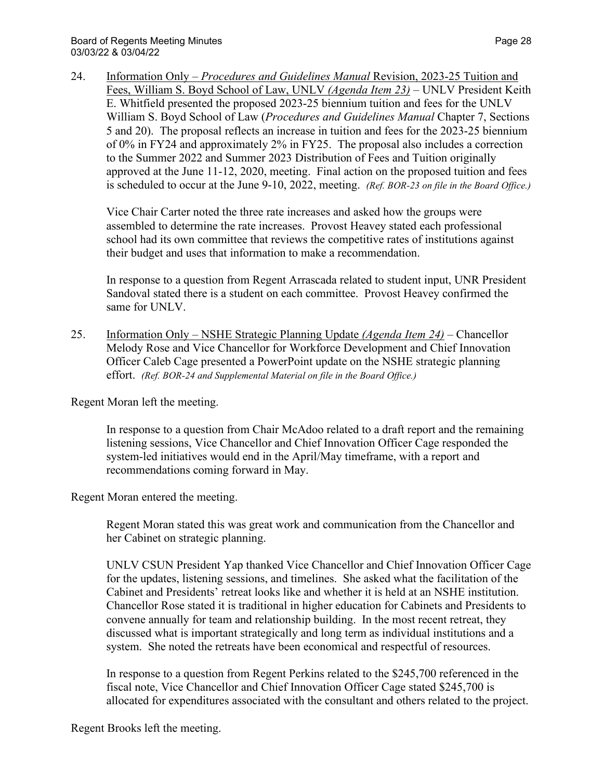24. Information Only – *Procedures and Guidelines Manual* Revision, 2023-25 Tuition and Fees, William S. Boyd School of Law, UNLV *(Agenda Item 23)* – UNLV President Keith E. Whitfield presented the proposed 2023-25 biennium tuition and fees for the UNLV William S. Boyd School of Law (*Procedures and Guidelines Manual* Chapter 7, Sections 5 and 20). The proposal reflects an increase in tuition and fees for the 2023-25 biennium of 0% in FY24 and approximately 2% in FY25. The proposal also includes a correction to the Summer 2022 and Summer 2023 Distribution of Fees and Tuition originally approved at the June 11-12, 2020, meeting. Final action on the proposed tuition and fees is scheduled to occur at the June 9-10, 2022, meeting. *(Ref. BOR-23 on file in the Board Office.)*

Vice Chair Carter noted the three rate increases and asked how the groups were assembled to determine the rate increases. Provost Heavey stated each professional school had its own committee that reviews the competitive rates of institutions against their budget and uses that information to make a recommendation.

In response to a question from Regent Arrascada related to student input, UNR President Sandoval stated there is a student on each committee. Provost Heavey confirmed the same for UNLV.

25. Information Only – NSHE Strategic Planning Update *(Agenda Item 24)* – Chancellor Melody Rose and Vice Chancellor for Workforce Development and Chief Innovation Officer Caleb Cage presented a PowerPoint update on the NSHE strategic planning effort. *(Ref. BOR-24 and Supplemental Material on file in the Board Office.)*

Regent Moran left the meeting.

In response to a question from Chair McAdoo related to a draft report and the remaining listening sessions, Vice Chancellor and Chief Innovation Officer Cage responded the system-led initiatives would end in the April/May timeframe, with a report and recommendations coming forward in May.

Regent Moran entered the meeting.

Regent Moran stated this was great work and communication from the Chancellor and her Cabinet on strategic planning.

UNLV CSUN President Yap thanked Vice Chancellor and Chief Innovation Officer Cage for the updates, listening sessions, and timelines. She asked what the facilitation of the Cabinet and Presidents' retreat looks like and whether it is held at an NSHE institution. Chancellor Rose stated it is traditional in higher education for Cabinets and Presidents to convene annually for team and relationship building. In the most recent retreat, they discussed what is important strategically and long term as individual institutions and a system. She noted the retreats have been economical and respectful of resources.

In response to a question from Regent Perkins related to the \$245,700 referenced in the fiscal note, Vice Chancellor and Chief Innovation Officer Cage stated \$245,700 is allocated for expenditures associated with the consultant and others related to the project.

Regent Brooks left the meeting.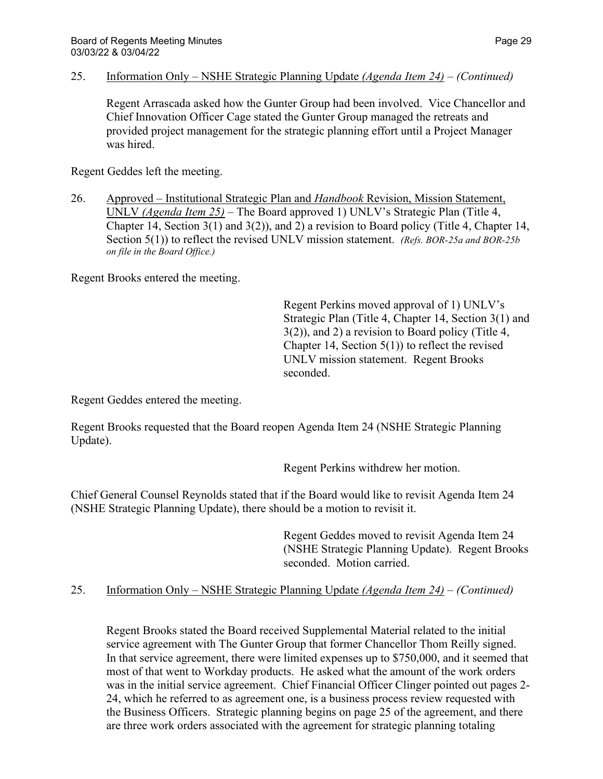25. Information Only – NSHE Strategic Planning Update *(Agenda Item 24)* – *(Continued)*

Regent Arrascada asked how the Gunter Group had been involved. Vice Chancellor and Chief Innovation Officer Cage stated the Gunter Group managed the retreats and provided project management for the strategic planning effort until a Project Manager was hired.

Regent Geddes left the meeting.

26. Approved – Institutional Strategic Plan and *Handbook* Revision, Mission Statement, UNLV *(Agenda Item 25)* – The Board approved 1) UNLV's Strategic Plan (Title 4, Chapter 14, Section 3(1) and 3(2)), and 2) a revision to Board policy (Title 4, Chapter 14, Section 5(1)) to reflect the revised UNLV mission statement. *(Refs. BOR-25a and BOR-25b on file in the Board Office.)*

Regent Brooks entered the meeting.

Regent Perkins moved approval of 1) UNLV's Strategic Plan (Title 4, Chapter 14, Section 3(1) and 3(2)), and 2) a revision to Board policy (Title 4, Chapter 14, Section  $5(1)$ ) to reflect the revised UNLV mission statement. Regent Brooks seconded.

Regent Geddes entered the meeting.

Regent Brooks requested that the Board reopen Agenda Item 24 (NSHE Strategic Planning Update).

Regent Perkins withdrew her motion.

Chief General Counsel Reynolds stated that if the Board would like to revisit Agenda Item 24 (NSHE Strategic Planning Update), there should be a motion to revisit it.

> Regent Geddes moved to revisit Agenda Item 24 (NSHE Strategic Planning Update). Regent Brooks seconded. Motion carried.

# 25. Information Only – NSHE Strategic Planning Update *(Agenda Item 24)* – *(Continued)*

Regent Brooks stated the Board received Supplemental Material related to the initial service agreement with The Gunter Group that former Chancellor Thom Reilly signed. In that service agreement, there were limited expenses up to \$750,000, and it seemed that most of that went to Workday products. He asked what the amount of the work orders was in the initial service agreement. Chief Financial Officer Clinger pointed out pages 2- 24, which he referred to as agreement one, is a business process review requested with the Business Officers. Strategic planning begins on page 25 of the agreement, and there are three work orders associated with the agreement for strategic planning totaling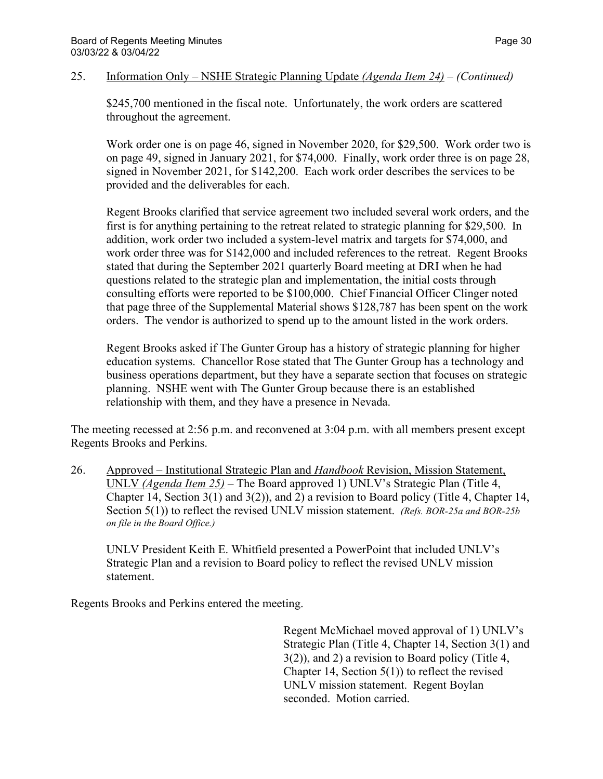### 25. Information Only – NSHE Strategic Planning Update *(Agenda Item 24)* – *(Continued)*

\$245,700 mentioned in the fiscal note. Unfortunately, the work orders are scattered throughout the agreement.

Work order one is on page 46, signed in November 2020, for \$29,500. Work order two is on page 49, signed in January 2021, for \$74,000. Finally, work order three is on page 28, signed in November 2021, for \$142,200. Each work order describes the services to be provided and the deliverables for each.

Regent Brooks clarified that service agreement two included several work orders, and the first is for anything pertaining to the retreat related to strategic planning for \$29,500. In addition, work order two included a system-level matrix and targets for \$74,000, and work order three was for \$142,000 and included references to the retreat. Regent Brooks stated that during the September 2021 quarterly Board meeting at DRI when he had questions related to the strategic plan and implementation, the initial costs through consulting efforts were reported to be \$100,000. Chief Financial Officer Clinger noted that page three of the Supplemental Material shows \$128,787 has been spent on the work orders. The vendor is authorized to spend up to the amount listed in the work orders.

Regent Brooks asked if The Gunter Group has a history of strategic planning for higher education systems. Chancellor Rose stated that The Gunter Group has a technology and business operations department, but they have a separate section that focuses on strategic planning. NSHE went with The Gunter Group because there is an established relationship with them, and they have a presence in Nevada.

The meeting recessed at 2:56 p.m. and reconvened at 3:04 p.m. with all members present except Regents Brooks and Perkins.

26. Approved – Institutional Strategic Plan and *Handbook* Revision, Mission Statement, UNLV *(Agenda Item 25)* – The Board approved 1) UNLV's Strategic Plan (Title 4, Chapter 14, Section 3(1) and 3(2)), and 2) a revision to Board policy (Title 4, Chapter 14, Section 5(1)) to reflect the revised UNLV mission statement. *(Refs. BOR-25a and BOR-25b on file in the Board Office.)*

UNLV President Keith E. Whitfield presented a PowerPoint that included UNLV's Strategic Plan and a revision to Board policy to reflect the revised UNLV mission statement.

Regents Brooks and Perkins entered the meeting.

Regent McMichael moved approval of 1) UNLV's Strategic Plan (Title 4, Chapter 14, Section 3(1) and 3(2)), and 2) a revision to Board policy (Title 4, Chapter 14, Section  $5(1)$  to reflect the revised UNLV mission statement. Regent Boylan seconded. Motion carried.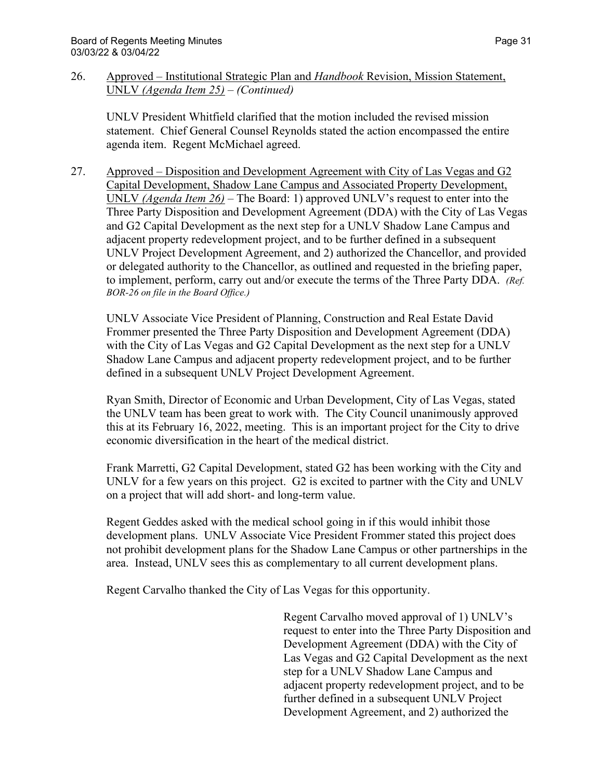26. Approved – Institutional Strategic Plan and *Handbook* Revision, Mission Statement, UNLV *(Agenda Item 25)* – *(Continued)*

UNLV President Whitfield clarified that the motion included the revised mission statement. Chief General Counsel Reynolds stated the action encompassed the entire agenda item. Regent McMichael agreed.

27. Approved – Disposition and Development Agreement with City of Las Vegas and G2 Capital Development, Shadow Lane Campus and Associated Property Development, UNLV *(Agenda Item 26)* – The Board: 1) approved UNLV's request to enter into the Three Party Disposition and Development Agreement (DDA) with the City of Las Vegas and G2 Capital Development as the next step for a UNLV Shadow Lane Campus and adjacent property redevelopment project, and to be further defined in a subsequent UNLV Project Development Agreement, and 2) authorized the Chancellor, and provided or delegated authority to the Chancellor, as outlined and requested in the briefing paper, to implement, perform, carry out and/or execute the terms of the Three Party DDA. *(Ref. BOR-26 on file in the Board Office.)*

UNLV Associate Vice President of Planning, Construction and Real Estate David Frommer presented the Three Party Disposition and Development Agreement (DDA) with the City of Las Vegas and G2 Capital Development as the next step for a UNLV Shadow Lane Campus and adjacent property redevelopment project, and to be further defined in a subsequent UNLV Project Development Agreement.

Ryan Smith, Director of Economic and Urban Development, City of Las Vegas, stated the UNLV team has been great to work with. The City Council unanimously approved this at its February 16, 2022, meeting. This is an important project for the City to drive economic diversification in the heart of the medical district.

Frank Marretti, G2 Capital Development, stated G2 has been working with the City and UNLV for a few years on this project. G2 is excited to partner with the City and UNLV on a project that will add short- and long-term value.

Regent Geddes asked with the medical school going in if this would inhibit those development plans. UNLV Associate Vice President Frommer stated this project does not prohibit development plans for the Shadow Lane Campus or other partnerships in the area. Instead, UNLV sees this as complementary to all current development plans.

Regent Carvalho thanked the City of Las Vegas for this opportunity.

Regent Carvalho moved approval of 1) UNLV's request to enter into the Three Party Disposition and Development Agreement (DDA) with the City of Las Vegas and G2 Capital Development as the next step for a UNLV Shadow Lane Campus and adjacent property redevelopment project, and to be further defined in a subsequent UNLV Project Development Agreement, and 2) authorized the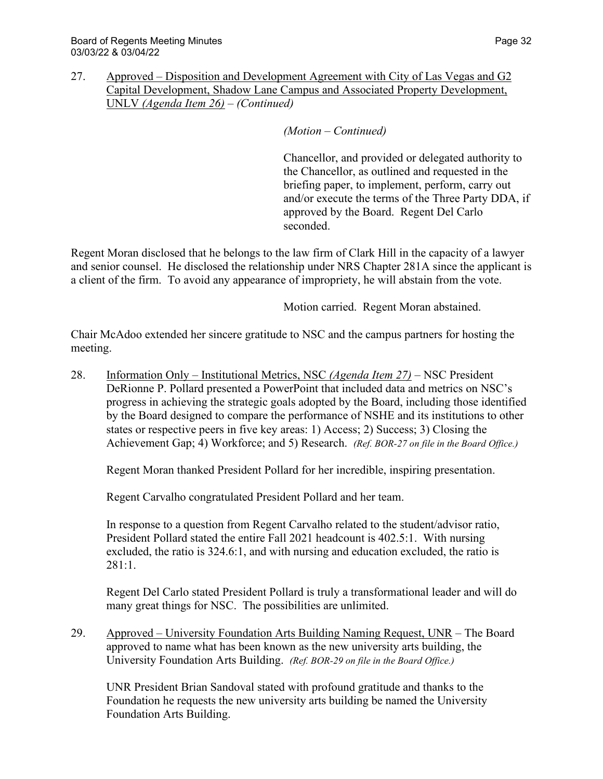27. Approved – Disposition and Development Agreement with City of Las Vegas and G2 Capital Development, Shadow Lane Campus and Associated Property Development, UNLV *(Agenda Item 26)* – *(Continued)*

*(Motion – Continued)* 

Chancellor, and provided or delegated authority to the Chancellor, as outlined and requested in the briefing paper, to implement, perform, carry out and/or execute the terms of the Three Party DDA, if approved by the Board. Regent Del Carlo seconded.

Regent Moran disclosed that he belongs to the law firm of Clark Hill in the capacity of a lawyer and senior counsel. He disclosed the relationship under NRS Chapter 281A since the applicant is a client of the firm. To avoid any appearance of impropriety, he will abstain from the vote.

Motion carried. Regent Moran abstained.

Chair McAdoo extended her sincere gratitude to NSC and the campus partners for hosting the meeting.

28. Information Only – Institutional Metrics, NSC *(Agenda Item 27)* – NSC President DeRionne P. Pollard presented a PowerPoint that included data and metrics on NSC's progress in achieving the strategic goals adopted by the Board, including those identified by the Board designed to compare the performance of NSHE and its institutions to other states or respective peers in five key areas: 1) Access; 2) Success; 3) Closing the Achievement Gap; 4) Workforce; and 5) Research. *(Ref. BOR-27 on file in the Board Office.)*

Regent Moran thanked President Pollard for her incredible, inspiring presentation.

Regent Carvalho congratulated President Pollard and her team.

In response to a question from Regent Carvalho related to the student/advisor ratio, President Pollard stated the entire Fall 2021 headcount is 402.5:1. With nursing excluded, the ratio is 324.6:1, and with nursing and education excluded, the ratio is 281:1.

Regent Del Carlo stated President Pollard is truly a transformational leader and will do many great things for NSC. The possibilities are unlimited.

29. Approved – University Foundation Arts Building Naming Request, UNR – The Board approved to name what has been known as the new university arts building, the University Foundation Arts Building. *(Ref. BOR-29 on file in the Board Office.)*

UNR President Brian Sandoval stated with profound gratitude and thanks to the Foundation he requests the new university arts building be named the University Foundation Arts Building.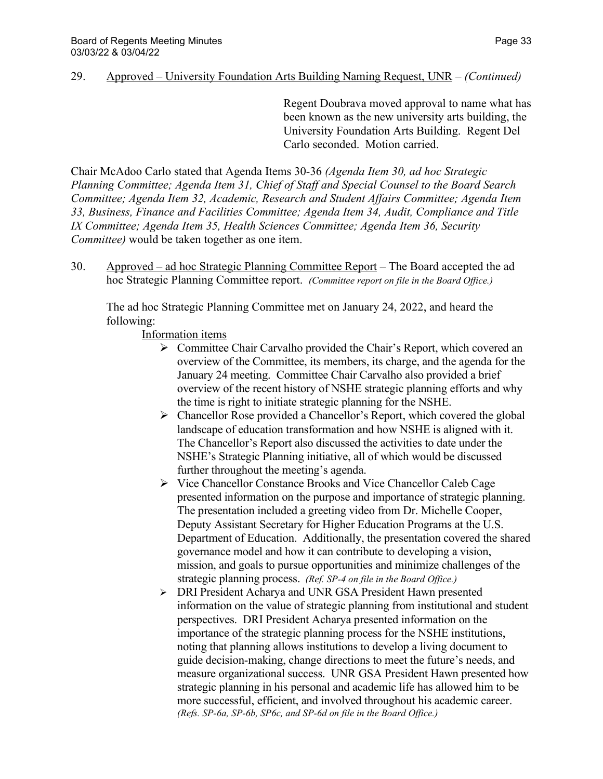### 29. Approved – University Foundation Arts Building Naming Request, UNR – *(Continued)*

Regent Doubrava moved approval to name what has been known as the new university arts building, the University Foundation Arts Building. Regent Del Carlo seconded. Motion carried.

Chair McAdoo Carlo stated that Agenda Items 30-36 *(Agenda Item 30, ad hoc Strategic Planning Committee; Agenda Item 31, Chief of Staff and Special Counsel to the Board Search Committee; Agenda Item 32, Academic, Research and Student Affairs Committee; Agenda Item 33, Business, Finance and Facilities Committee; Agenda Item 34, Audit, Compliance and Title IX Committee; Agenda Item 35, Health Sciences Committee; Agenda Item 36, Security Committee)* would be taken together as one item.

30. Approved – ad hoc Strategic Planning Committee Report – The Board accepted the ad hoc Strategic Planning Committee report. *(Committee report on file in the Board Office.)*

The ad hoc Strategic Planning Committee met on January 24, 2022, and heard the following:

Information items

- $\triangleright$  Committee Chair Carvalho provided the Chair's Report, which covered an overview of the Committee, its members, its charge, and the agenda for the January 24 meeting. Committee Chair Carvalho also provided a brief overview of the recent history of NSHE strategic planning efforts and why the time is right to initiate strategic planning for the NSHE.
- $\triangleright$  Chancellor Rose provided a Chancellor's Report, which covered the global landscape of education transformation and how NSHE is aligned with it. The Chancellor's Report also discussed the activities to date under the NSHE's Strategic Planning initiative, all of which would be discussed further throughout the meeting's agenda.
- Vice Chancellor Constance Brooks and Vice Chancellor Caleb Cage presented information on the purpose and importance of strategic planning. The presentation included a greeting video from Dr. Michelle Cooper, Deputy Assistant Secretary for Higher Education Programs at the U.S. Department of Education. Additionally, the presentation covered the shared governance model and how it can contribute to developing a vision, mission, and goals to pursue opportunities and minimize challenges of the strategic planning process. *(Ref. SP-4 on file in the Board Office.)*
- DRI President Acharya and UNR GSA President Hawn presented information on the value of strategic planning from institutional and student perspectives. DRI President Acharya presented information on the importance of the strategic planning process for the NSHE institutions, noting that planning allows institutions to develop a living document to guide decision-making, change directions to meet the future's needs, and measure organizational success. UNR GSA President Hawn presented how strategic planning in his personal and academic life has allowed him to be more successful, efficient, and involved throughout his academic career. *(Refs. SP-6a, SP-6b, SP6c, and SP-6d on file in the Board Office.)*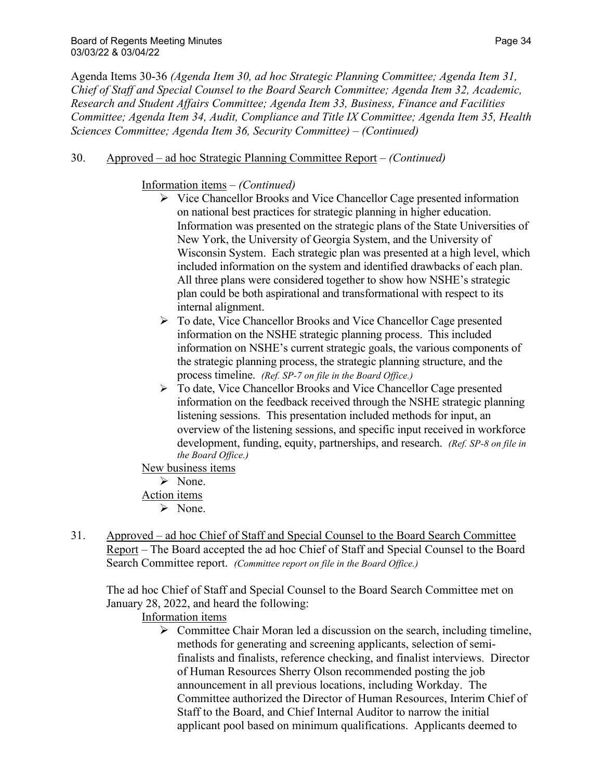# 30. Approved – ad hoc Strategic Planning Committee Report – *(Continued)*

# Information items – *(Continued)*

- $\triangleright$  Vice Chancellor Brooks and Vice Chancellor Cage presented information on national best practices for strategic planning in higher education. Information was presented on the strategic plans of the State Universities of New York, the University of Georgia System, and the University of Wisconsin System. Each strategic plan was presented at a high level, which included information on the system and identified drawbacks of each plan. All three plans were considered together to show how NSHE's strategic plan could be both aspirational and transformational with respect to its internal alignment.
- To date, Vice Chancellor Brooks and Vice Chancellor Cage presented information on the NSHE strategic planning process. This included information on NSHE's current strategic goals, the various components of the strategic planning process, the strategic planning structure, and the process timeline. *(Ref. SP-7 on file in the Board Office.)*
- To date, Vice Chancellor Brooks and Vice Chancellor Cage presented information on the feedback received through the NSHE strategic planning listening sessions. This presentation included methods for input, an overview of the listening sessions, and specific input received in workforce development, funding, equity, partnerships, and research. *(Ref. SP-8 on file in the Board Office.)*

New business items

- $\triangleright$  None. Action items  $\triangleright$  None.
	-
- 31. Approved ad hoc Chief of Staff and Special Counsel to the Board Search Committee Report – The Board accepted the ad hoc Chief of Staff and Special Counsel to the Board Search Committee report. *(Committee report on file in the Board Office.)*

The ad hoc Chief of Staff and Special Counsel to the Board Search Committee met on January 28, 2022, and heard the following:

Information items

 $\triangleright$  Committee Chair Moran led a discussion on the search, including timeline, methods for generating and screening applicants, selection of semifinalists and finalists, reference checking, and finalist interviews. Director of Human Resources Sherry Olson recommended posting the job announcement in all previous locations, including Workday. The Committee authorized the Director of Human Resources, Interim Chief of Staff to the Board, and Chief Internal Auditor to narrow the initial applicant pool based on minimum qualifications. Applicants deemed to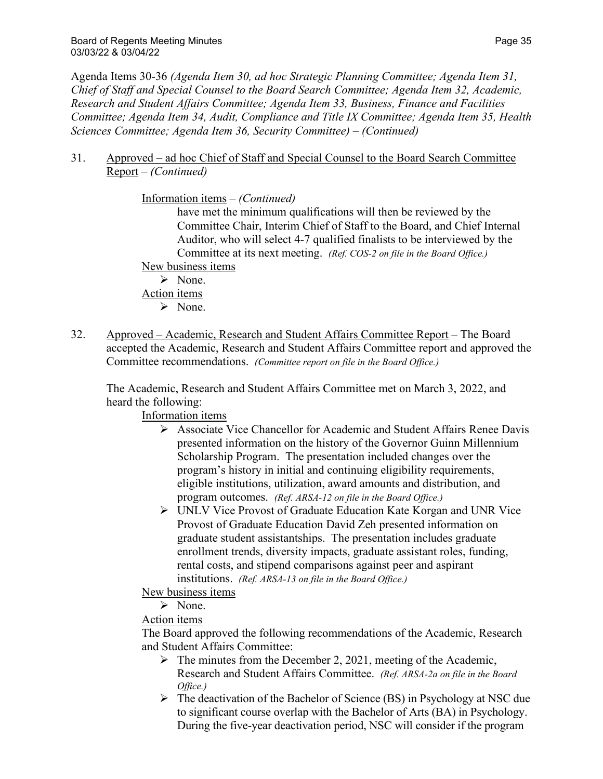# 31. Approved – ad hoc Chief of Staff and Special Counsel to the Board Search Committee Report – *(Continued)*

Information items – *(Continued)*

have met the minimum qualifications will then be reviewed by the Committee Chair, Interim Chief of Staff to the Board, and Chief Internal Auditor, who will select 4-7 qualified finalists to be interviewed by the Committee at its next meeting. *(Ref. COS-2 on file in the Board Office.)* New business items

 $\triangleright$  None. Action items  $\triangleright$  None.

32. Approved – Academic, Research and Student Affairs Committee Report – The Board accepted the Academic, Research and Student Affairs Committee report and approved the Committee recommendations. *(Committee report on file in the Board Office.)*

The Academic, Research and Student Affairs Committee met on March 3, 2022, and heard the following:

Information items

- $\triangleright$  Associate Vice Chancellor for Academic and Student Affairs Renee Davis presented information on the history of the Governor Guinn Millennium Scholarship Program. The presentation included changes over the program's history in initial and continuing eligibility requirements, eligible institutions, utilization, award amounts and distribution, and program outcomes. *(Ref. ARSA-12 on file in the Board Office.)*
- UNLV Vice Provost of Graduate Education Kate Korgan and UNR Vice Provost of Graduate Education David Zeh presented information on graduate student assistantships. The presentation includes graduate enrollment trends, diversity impacts, graduate assistant roles, funding, rental costs, and stipend comparisons against peer and aspirant institutions. *(Ref. ARSA-13 on file in the Board Office.)*

New business items

 $\triangleright$  None.

Action items

The Board approved the following recommendations of the Academic, Research and Student Affairs Committee:

- $\triangleright$  The minutes from the December 2, 2021, meeting of the Academic, Research and Student Affairs Committee. *(Ref. ARSA-2a on file in the Board Office.)*
- $\triangleright$  The deactivation of the Bachelor of Science (BS) in Psychology at NSC due to significant course overlap with the Bachelor of Arts (BA) in Psychology. During the five-year deactivation period, NSC will consider if the program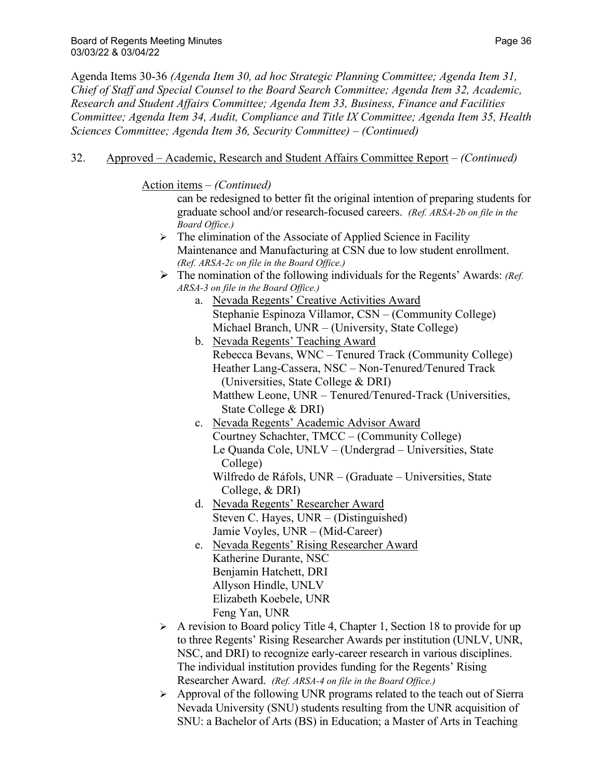# 32. Approved – Academic, Research and Student Affairs Committee Report – *(Continued)*

## Action items – *(Continued)*

can be redesigned to better fit the original intention of preparing students for graduate school and/or research-focused careers. *(Ref. ARSA-2b on file in the Board Office.)*

- $\triangleright$  The elimination of the Associate of Applied Science in Facility Maintenance and Manufacturing at CSN due to low student enrollment. *(Ref. ARSA-2c on file in the Board Office.)*
- The nomination of the following individuals for the Regents' Awards: *(Ref. ARSA-3 on file in the Board Office.)*
	- a. Nevada Regents' Creative Activities Award Stephanie Espinoza Villamor, CSN – (Community College) Michael Branch, UNR – (University, State College)
	- b. Nevada Regents' Teaching Award Rebecca Bevans, WNC – Tenured Track (Community College) Heather Lang-Cassera, NSC – Non-Tenured/Tenured Track (Universities, State College & DRI) Matthew Leone, UNR – Tenured/Tenured-Track (Universities, State College & DRI)
	- c. Nevada Regents' Academic Advisor Award Courtney Schachter, TMCC – (Community College) Le Quanda Cole, UNLV – (Undergrad – Universities, State College)

Wilfredo de Ráfols, UNR – (Graduate – Universities, State College, & DRI)

- d. Nevada Regents' Researcher Award Steven C. Hayes, UNR – (Distinguished) Jamie Voyles, UNR – (Mid-Career)
- e. Nevada Regents' Rising Researcher Award Katherine Durante, NSC Benjamin Hatchett, DRI Allyson Hindle, UNLV Elizabeth Koebele, UNR Feng Yan, UNR
- $\triangleright$  A revision to Board policy Title 4, Chapter 1, Section 18 to provide for up to three Regents' Rising Researcher Awards per institution (UNLV, UNR, NSC, and DRI) to recognize early-career research in various disciplines. The individual institution provides funding for the Regents' Rising Researcher Award. *(Ref. ARSA-4 on file in the Board Office.)*
- $\triangleright$  Approval of the following UNR programs related to the teach out of Sierra Nevada University (SNU) students resulting from the UNR acquisition of SNU: a Bachelor of Arts (BS) in Education; a Master of Arts in Teaching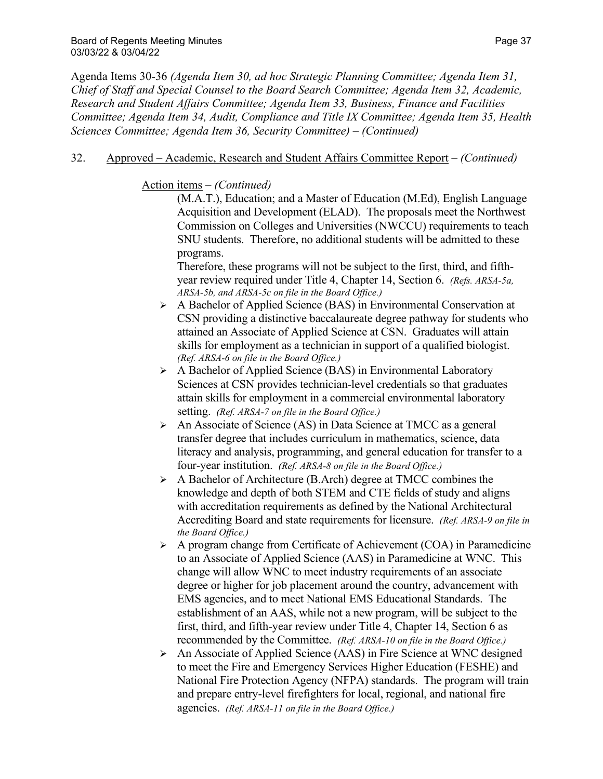# 32. Approved – Academic, Research and Student Affairs Committee Report – *(Continued)*

# Action items – *(Continued)*

(M.A.T.), Education; and a Master of Education (M.Ed), English Language Acquisition and Development (ELAD). The proposals meet the Northwest Commission on Colleges and Universities (NWCCU) requirements to teach SNU students. Therefore, no additional students will be admitted to these programs.

Therefore, these programs will not be subject to the first, third, and fifthyear review required under Title 4, Chapter 14, Section 6. *(Refs. ARSA-5a, ARSA-5b, and ARSA-5c on file in the Board Office.)*

- A Bachelor of Applied Science (BAS) in Environmental Conservation at CSN providing a distinctive baccalaureate degree pathway for students who attained an Associate of Applied Science at CSN. Graduates will attain skills for employment as a technician in support of a qualified biologist. *(Ref. ARSA-6 on file in the Board Office.)*
- A Bachelor of Applied Science (BAS) in Environmental Laboratory Sciences at CSN provides technician-level credentials so that graduates attain skills for employment in a commercial environmental laboratory setting. *(Ref. ARSA-7 on file in the Board Office.)*
- $\triangleright$  An Associate of Science (AS) in Data Science at TMCC as a general transfer degree that includes curriculum in mathematics, science, data literacy and analysis, programming, and general education for transfer to a four-year institution. *(Ref. ARSA-8 on file in the Board Office.)*
- $\triangleright$  A Bachelor of Architecture (B.Arch) degree at TMCC combines the knowledge and depth of both STEM and CTE fields of study and aligns with accreditation requirements as defined by the National Architectural Accrediting Board and state requirements for licensure. *(Ref. ARSA-9 on file in the Board Office.)*
- $\triangleright$  A program change from Certificate of Achievement (COA) in Paramedicine to an Associate of Applied Science (AAS) in Paramedicine at WNC. This change will allow WNC to meet industry requirements of an associate degree or higher for job placement around the country, advancement with EMS agencies, and to meet National EMS Educational Standards. The establishment of an AAS, while not a new program, will be subject to the first, third, and fifth-year review under Title 4, Chapter 14, Section 6 as recommended by the Committee. *(Ref. ARSA-10 on file in the Board Office.)*
- An Associate of Applied Science (AAS) in Fire Science at WNC designed to meet the Fire and Emergency Services Higher Education (FESHE) and National Fire Protection Agency (NFPA) standards. The program will train and prepare entry-level firefighters for local, regional, and national fire agencies. *(Ref. ARSA-11 on file in the Board Office.)*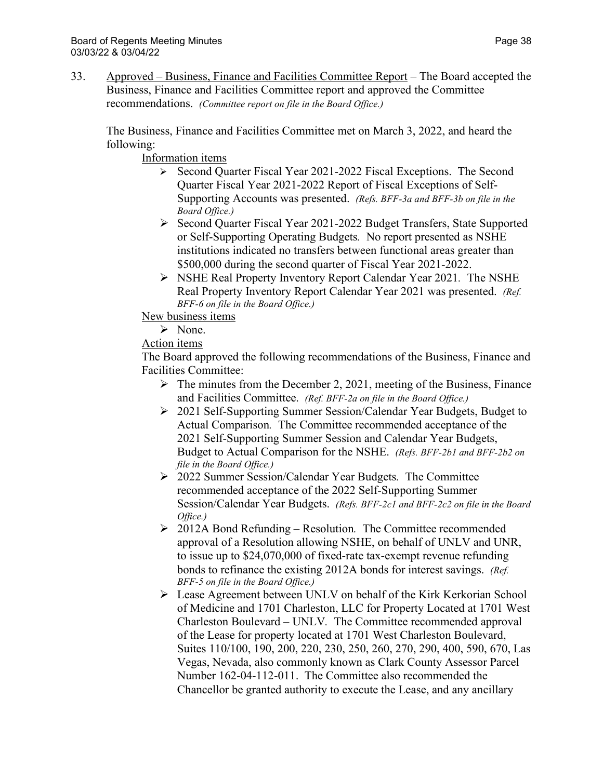33. Approved – Business, Finance and Facilities Committee Report – The Board accepted the Business, Finance and Facilities Committee report and approved the Committee recommendations. *(Committee report on file in the Board Office.)*

The Business, Finance and Facilities Committee met on March 3, 2022, and heard the following:

Information items

- Second Quarter Fiscal Year 2021-2022 Fiscal Exceptions. The Second Quarter Fiscal Year 2021-2022 Report of Fiscal Exceptions of Self-Supporting Accounts was presented. *(Refs. BFF-3a and BFF-3b on file in the Board Office.)*
- Second Quarter Fiscal Year 2021-2022 Budget Transfers, State Supported or Self-Supporting Operating Budgets*.* No report presented as NSHE institutions indicated no transfers between functional areas greater than \$500,000 during the second quarter of Fiscal Year 2021-2022.
- NSHE Real Property Inventory Report Calendar Year 2021*.* The NSHE Real Property Inventory Report Calendar Year 2021 was presented. *(Ref. BFF-6 on file in the Board Office.)*

New business items

 $\triangleright$  None.

# Action items

The Board approved the following recommendations of the Business, Finance and Facilities Committee:

- $\triangleright$  The minutes from the December 2, 2021, meeting of the Business, Finance and Facilities Committee. *(Ref. BFF-2a on file in the Board Office.)*
- 2021 Self-Supporting Summer Session/Calendar Year Budgets, Budget to Actual Comparison*.* The Committee recommended acceptance of the 2021 Self-Supporting Summer Session and Calendar Year Budgets, Budget to Actual Comparison for the NSHE. *(Refs. BFF-2b1 and BFF-2b2 on file in the Board Office.)*
- 2022 Summer Session/Calendar Year Budgets*.* The Committee recommended acceptance of the 2022 Self-Supporting Summer Session/Calendar Year Budgets. *(Refs. BFF-2c1 and BFF-2c2 on file in the Board Office.)*
- 2012A Bond Refunding Resolution*.* The Committee recommended approval of a Resolution allowing NSHE, on behalf of UNLV and UNR, to issue up to \$24,070,000 of fixed-rate tax-exempt revenue refunding bonds to refinance the existing 2012A bonds for interest savings. *(Ref. BFF-5 on file in the Board Office.)*
- Eease Agreement between UNLV on behalf of the Kirk Kerkorian School of Medicine and 1701 Charleston, LLC for Property Located at 1701 West Charleston Boulevard – UNLV*.* The Committee recommended approval of the Lease for property located at 1701 West Charleston Boulevard, Suites 110/100, 190, 200, 220, 230, 250, 260, 270, 290, 400, 590, 670, Las Vegas, Nevada, also commonly known as Clark County Assessor Parcel Number 162-04-112-011. The Committee also recommended the Chancellor be granted authority to execute the Lease, and any ancillary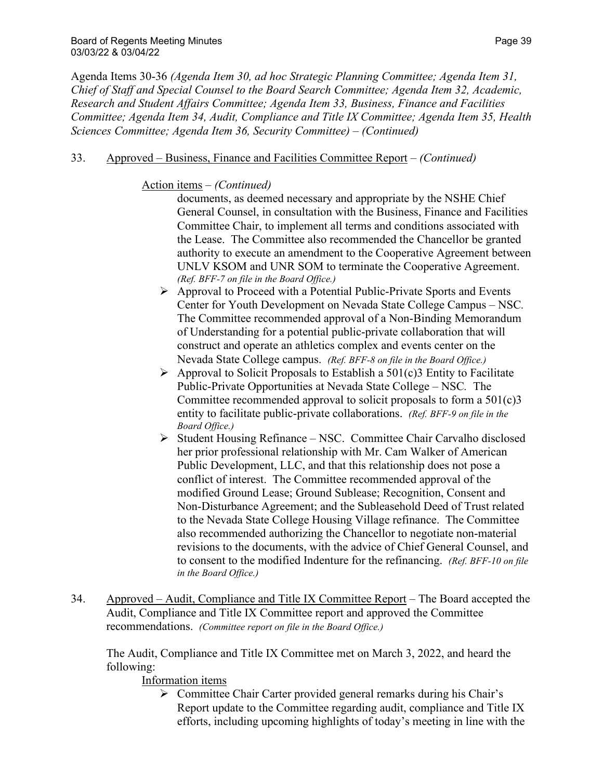# 33. Approved – Business, Finance and Facilities Committee Report – *(Continued)*

# Action items – *(Continued)*

documents, as deemed necessary and appropriate by the NSHE Chief General Counsel, in consultation with the Business, Finance and Facilities Committee Chair, to implement all terms and conditions associated with the Lease. The Committee also recommended the Chancellor be granted authority to execute an amendment to the Cooperative Agreement between UNLV KSOM and UNR SOM to terminate the Cooperative Agreement. *(Ref. BFF-7 on file in the Board Office.)*

- $\triangleright$  Approval to Proceed with a Potential Public-Private Sports and Events Center for Youth Development on Nevada State College Campus – NSC*.*  The Committee recommended approval of a Non-Binding Memorandum of Understanding for a potential public-private collaboration that will construct and operate an athletics complex and events center on the Nevada State College campus. *(Ref. BFF-8 on file in the Board Office.)*
- $\triangleright$  Approval to Solicit Proposals to Establish a 501(c)3 Entity to Facilitate Public-Private Opportunities at Nevada State College – NSC*.* The Committee recommended approval to solicit proposals to form a 501(c)3 entity to facilitate public-private collaborations. *(Ref. BFF-9 on file in the Board Office.)*
- $\triangleright$  Student Housing Refinance NSC. Committee Chair Carvalho disclosed her prior professional relationship with Mr. Cam Walker of American Public Development, LLC, and that this relationship does not pose a conflict of interest. The Committee recommended approval of the modified Ground Lease; Ground Sublease; Recognition, Consent and Non-Disturbance Agreement; and the Subleasehold Deed of Trust related to the Nevada State College Housing Village refinance. The Committee also recommended authorizing the Chancellor to negotiate non-material revisions to the documents, with the advice of Chief General Counsel, and to consent to the modified Indenture for the refinancing. *(Ref. BFF-10 on file in the Board Office.)*
- 34. Approved Audit, Compliance and Title IX Committee Report The Board accepted the Audit, Compliance and Title IX Committee report and approved the Committee recommendations. *(Committee report on file in the Board Office.)*

The Audit, Compliance and Title IX Committee met on March 3, 2022, and heard the following:

# Information items

 $\triangleright$  Committee Chair Carter provided general remarks during his Chair's Report update to the Committee regarding audit, compliance and Title IX efforts, including upcoming highlights of today's meeting in line with the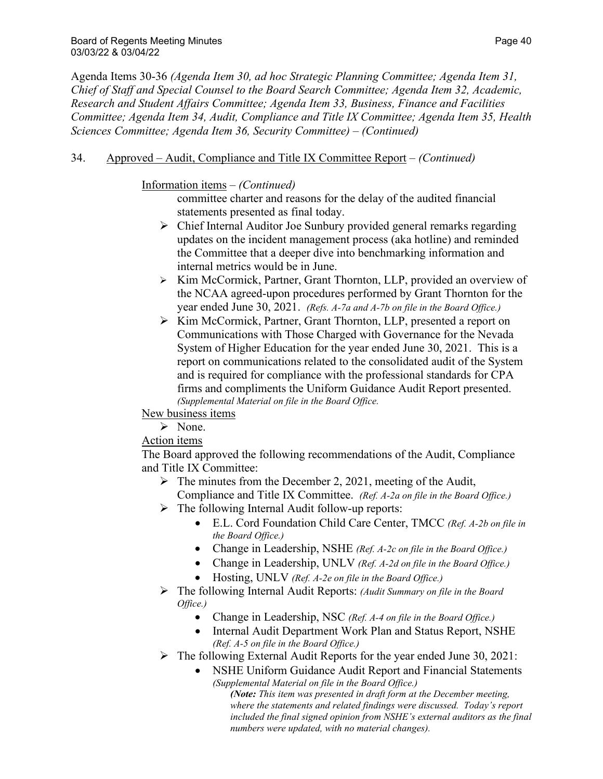# 34. Approved – Audit, Compliance and Title IX Committee Report – *(Continued)*

### Information items – *(Continued)*

committee charter and reasons for the delay of the audited financial statements presented as final today.

- $\triangleright$  Chief Internal Auditor Joe Sunbury provided general remarks regarding updates on the incident management process (aka hotline) and reminded the Committee that a deeper dive into benchmarking information and internal metrics would be in June.
- > Kim McCormick, Partner, Grant Thornton, LLP, provided an overview of the NCAA agreed-upon procedures performed by Grant Thornton for the year ended June 30, 2021. *(Refs. A-7a and A-7b on file in the Board Office.)*
- ▶ Kim McCormick, Partner, Grant Thornton, LLP, presented a report on Communications with Those Charged with Governance for the Nevada System of Higher Education for the year ended June 30, 2021. This is a report on communications related to the consolidated audit of the System and is required for compliance with the professional standards for CPA firms and compliments the Uniform Guidance Audit Report presented. *(Supplemental Material on file in the Board Office.*

New business items

> None.

# Action items

The Board approved the following recommendations of the Audit, Compliance and Title IX Committee:

- $\triangleright$  The minutes from the December 2, 2021, meeting of the Audit, Compliance and Title IX Committee. *(Ref. A-2a on file in the Board Office.)*
- $\triangleright$  The following Internal Audit follow-up reports:
	- E.L. Cord Foundation Child Care Center, TMCC *(Ref. A-2b on file in the Board Office.)*
	- Change in Leadership, NSHE *(Ref. A-2c on file in the Board Office.)*
	- Change in Leadership, UNLV *(Ref. A-2d on file in the Board Office.)*
	- Hosting, UNLV *(Ref. A-2e on file in the Board Office.)*
- The following Internal Audit Reports: *(Audit Summary on file in the Board Office.)*
	- Change in Leadership, NSC *(Ref. A-4 on file in the Board Office.)*
	- Internal Audit Department Work Plan and Status Report, NSHE *(Ref. A-5 on file in the Board Office.)*
- $\triangleright$  The following External Audit Reports for the year ended June 30, 2021:
	- NSHE Uniform Guidance Audit Report and Financial Statements *(Supplemental Material on file in the Board Office.)*

*(Note: This item was presented in draft form at the December meeting, where the statements and related findings were discussed. Today's report included the final signed opinion from NSHE's external auditors as the final numbers were updated, with no material changes).*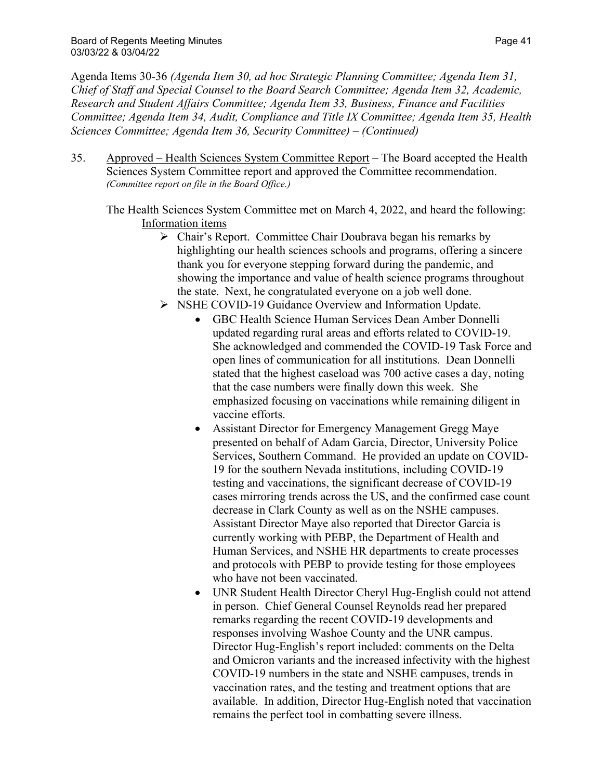35. Approved – Health Sciences System Committee Report – The Board accepted the Health Sciences System Committee report and approved the Committee recommendation. *(Committee report on file in the Board Office.)*

The Health Sciences System Committee met on March 4, 2022, and heard the following: Information items

- Chair's Report. Committee Chair Doubrava began his remarks by highlighting our health sciences schools and programs, offering a sincere thank you for everyone stepping forward during the pandemic, and showing the importance and value of health science programs throughout the state. Next, he congratulated everyone on a job well done.
- NSHE COVID-19 Guidance Overview and Information Update.
	- GBC Health Science Human Services Dean Amber Donnelli updated regarding rural areas and efforts related to COVID-19. She acknowledged and commended the COVID-19 Task Force and open lines of communication for all institutions. Dean Donnelli stated that the highest caseload was 700 active cases a day, noting that the case numbers were finally down this week. She emphasized focusing on vaccinations while remaining diligent in vaccine efforts.
	- Assistant Director for Emergency Management Gregg Maye presented on behalf of Adam Garcia, Director, University Police Services, Southern Command. He provided an update on COVID-19 for the southern Nevada institutions, including COVID-19 testing and vaccinations, the significant decrease of COVID-19 cases mirroring trends across the US, and the confirmed case count decrease in Clark County as well as on the NSHE campuses. Assistant Director Maye also reported that Director Garcia is currently working with PEBP, the Department of Health and Human Services, and NSHE HR departments to create processes and protocols with PEBP to provide testing for those employees who have not been vaccinated.
	- UNR Student Health Director Cheryl Hug-English could not attend in person. Chief General Counsel Reynolds read her prepared remarks regarding the recent COVID-19 developments and responses involving Washoe County and the UNR campus. Director Hug-English's report included: comments on the Delta and Omicron variants and the increased infectivity with the highest COVID-19 numbers in the state and NSHE campuses, trends in vaccination rates, and the testing and treatment options that are available. In addition, Director Hug-English noted that vaccination remains the perfect tool in combatting severe illness.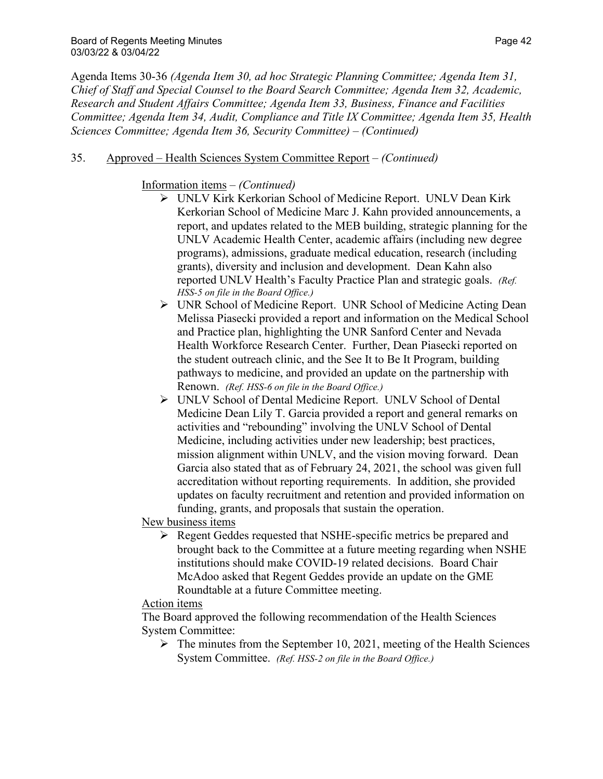# 35. Approved – Health Sciences System Committee Report – *(Continued)*

# Information items – *(Continued)*

- UNLV Kirk Kerkorian School of Medicine Report. UNLV Dean Kirk Kerkorian School of Medicine Marc J. Kahn provided announcements, a report, and updates related to the MEB building, strategic planning for the UNLV Academic Health Center, academic affairs (including new degree programs), admissions, graduate medical education, research (including grants), diversity and inclusion and development. Dean Kahn also reported UNLV Health's Faculty Practice Plan and strategic goals. *(Ref. HSS-5 on file in the Board Office.)*
- UNR School of Medicine Report. UNR School of Medicine Acting Dean Melissa Piasecki provided a report and information on the Medical School and Practice plan, highlighting the UNR Sanford Center and Nevada Health Workforce Research Center. Further, Dean Piasecki reported on the student outreach clinic, and the See It to Be It Program, building pathways to medicine, and provided an update on the partnership with Renown. *(Ref. HSS-6 on file in the Board Office.)*
- UNLV School of Dental Medicine Report. UNLV School of Dental Medicine Dean Lily T. Garcia provided a report and general remarks on activities and "rebounding" involving the UNLV School of Dental Medicine, including activities under new leadership; best practices, mission alignment within UNLV, and the vision moving forward. Dean Garcia also stated that as of February 24, 2021, the school was given full accreditation without reporting requirements. In addition, she provided updates on faculty recruitment and retention and provided information on funding, grants, and proposals that sustain the operation.

New business items

 $\triangleright$  Regent Geddes requested that NSHE-specific metrics be prepared and brought back to the Committee at a future meeting regarding when NSHE institutions should make COVID-19 related decisions. Board Chair McAdoo asked that Regent Geddes provide an update on the GME Roundtable at a future Committee meeting.

## Action items

The Board approved the following recommendation of the Health Sciences System Committee:

 $\triangleright$  The minutes from the September 10, 2021, meeting of the Health Sciences System Committee. *(Ref. HSS-2 on file in the Board Office.)*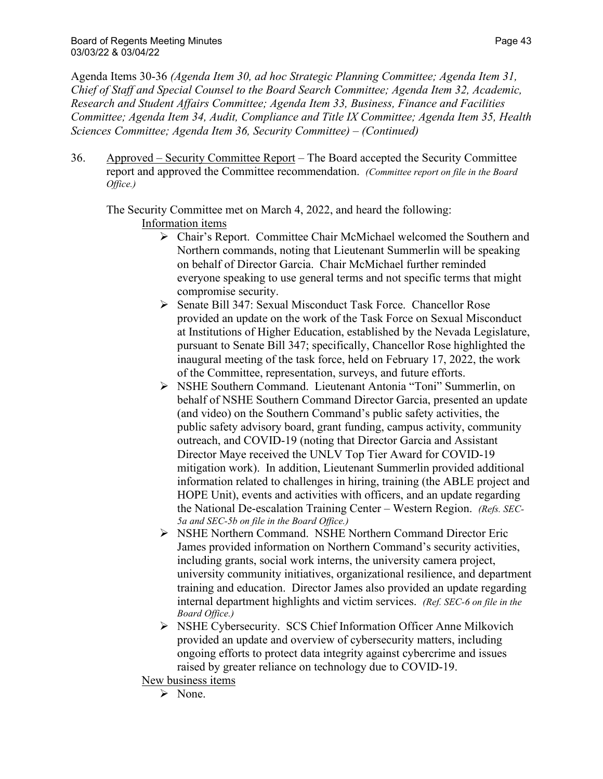36. Approved – Security Committee Report – The Board accepted the Security Committee report and approved the Committee recommendation. *(Committee report on file in the Board Office.)*

The Security Committee met on March 4, 2022, and heard the following: Information items

- Chair's Report. Committee Chair McMichael welcomed the Southern and Northern commands, noting that Lieutenant Summerlin will be speaking on behalf of Director Garcia. Chair McMichael further reminded everyone speaking to use general terms and not specific terms that might compromise security.
- Senate Bill 347: Sexual Misconduct Task Force. Chancellor Rose provided an update on the work of the Task Force on Sexual Misconduct at Institutions of Higher Education, established by the Nevada Legislature, pursuant to Senate Bill 347; specifically, Chancellor Rose highlighted the inaugural meeting of the task force, held on February 17, 2022, the work of the Committee, representation, surveys, and future efforts.
- NSHE Southern Command. Lieutenant Antonia "Toni" Summerlin, on behalf of NSHE Southern Command Director Garcia, presented an update (and video) on the Southern Command's public safety activities, the public safety advisory board, grant funding, campus activity, community outreach, and COVID-19 (noting that Director Garcia and Assistant Director Maye received the UNLV Top Tier Award for COVID-19 mitigation work). In addition, Lieutenant Summerlin provided additional information related to challenges in hiring, training (the ABLE project and HOPE Unit), events and activities with officers, and an update regarding the National De-escalation Training Center – Western Region. *(Refs. SEC-5a and SEC-5b on file in the Board Office.)*
- NSHE Northern Command. NSHE Northern Command Director Eric James provided information on Northern Command's security activities, including grants, social work interns, the university camera project, university community initiatives, organizational resilience, and department training and education. Director James also provided an update regarding internal department highlights and victim services. *(Ref. SEC-6 on file in the Board Office.)*
- NSHE Cybersecurity. SCS Chief Information Officer Anne Milkovich provided an update and overview of cybersecurity matters, including ongoing efforts to protect data integrity against cybercrime and issues raised by greater reliance on technology due to COVID-19.

New business items

 $\triangleright$  None.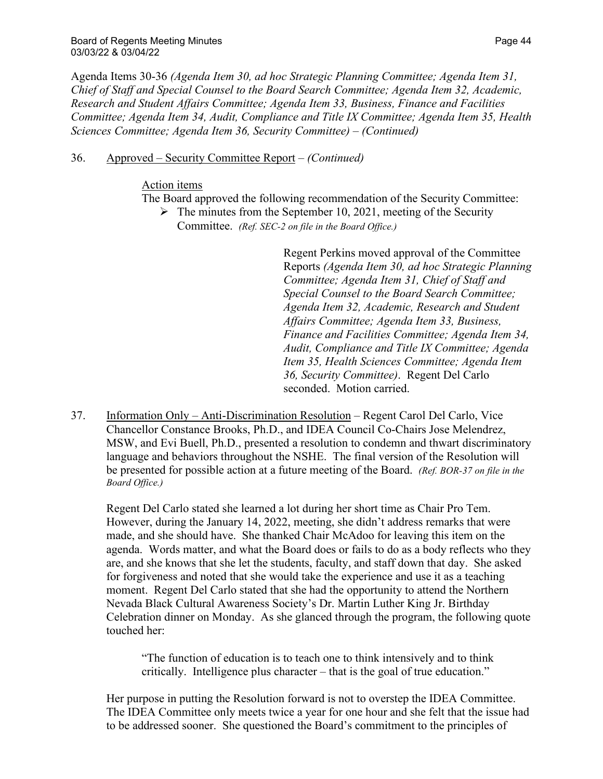# 36. Approved – Security Committee Report – *(Continued)*

# Action items

The Board approved the following recommendation of the Security Committee:

 $\triangleright$  The minutes from the September 10, 2021, meeting of the Security Committee. *(Ref. SEC-2 on file in the Board Office.)*

> Regent Perkins moved approval of the Committee Reports *(Agenda Item 30, ad hoc Strategic Planning Committee; Agenda Item 31, Chief of Staff and Special Counsel to the Board Search Committee; Agenda Item 32, Academic, Research and Student Affairs Committee; Agenda Item 33, Business, Finance and Facilities Committee; Agenda Item 34, Audit, Compliance and Title IX Committee; Agenda Item 35, Health Sciences Committee; Agenda Item 36, Security Committee)*. Regent Del Carlo seconded. Motion carried.

37. Information Only – Anti-Discrimination Resolution – Regent Carol Del Carlo, Vice Chancellor Constance Brooks, Ph.D., and IDEA Council Co-Chairs Jose Melendrez, MSW, and Evi Buell, Ph.D., presented a resolution to condemn and thwart discriminatory language and behaviors throughout the NSHE. The final version of the Resolution will be presented for possible action at a future meeting of the Board. *(Ref. BOR-37 on file in the Board Office.)*

Regent Del Carlo stated she learned a lot during her short time as Chair Pro Tem. However, during the January 14, 2022, meeting, she didn't address remarks that were made, and she should have. She thanked Chair McAdoo for leaving this item on the agenda. Words matter, and what the Board does or fails to do as a body reflects who they are, and she knows that she let the students, faculty, and staff down that day. She asked for forgiveness and noted that she would take the experience and use it as a teaching moment. Regent Del Carlo stated that she had the opportunity to attend the Northern Nevada Black Cultural Awareness Society's Dr. Martin Luther King Jr. Birthday Celebration dinner on Monday. As she glanced through the program, the following quote touched her:

"The function of education is to teach one to think intensively and to think critically. Intelligence plus character – that is the goal of true education."

Her purpose in putting the Resolution forward is not to overstep the IDEA Committee. The IDEA Committee only meets twice a year for one hour and she felt that the issue had to be addressed sooner. She questioned the Board's commitment to the principles of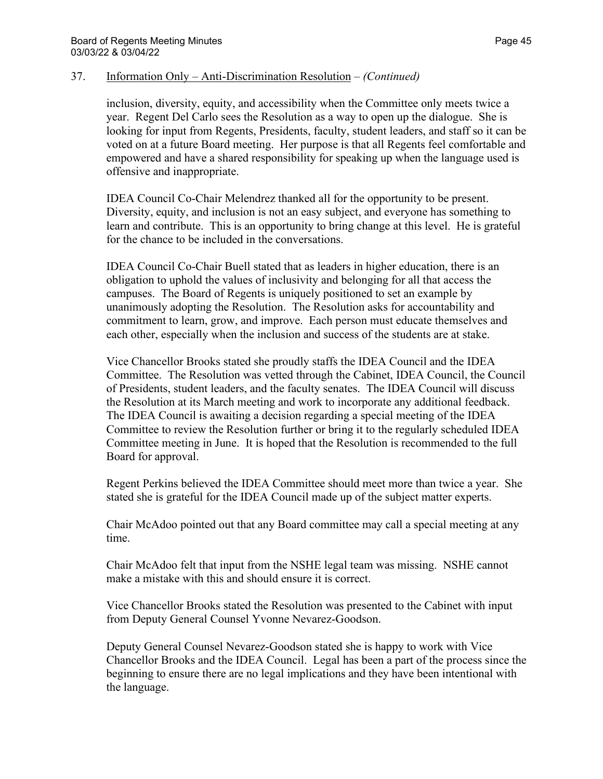#### 37. Information Only – Anti-Discrimination Resolution – *(Continued)*

inclusion, diversity, equity, and accessibility when the Committee only meets twice a year. Regent Del Carlo sees the Resolution as a way to open up the dialogue. She is looking for input from Regents, Presidents, faculty, student leaders, and staff so it can be voted on at a future Board meeting. Her purpose is that all Regents feel comfortable and empowered and have a shared responsibility for speaking up when the language used is offensive and inappropriate.

IDEA Council Co-Chair Melendrez thanked all for the opportunity to be present. Diversity, equity, and inclusion is not an easy subject, and everyone has something to learn and contribute. This is an opportunity to bring change at this level. He is grateful for the chance to be included in the conversations.

IDEA Council Co-Chair Buell stated that as leaders in higher education, there is an obligation to uphold the values of inclusivity and belonging for all that access the campuses. The Board of Regents is uniquely positioned to set an example by unanimously adopting the Resolution. The Resolution asks for accountability and commitment to learn, grow, and improve. Each person must educate themselves and each other, especially when the inclusion and success of the students are at stake.

Vice Chancellor Brooks stated she proudly staffs the IDEA Council and the IDEA Committee. The Resolution was vetted through the Cabinet, IDEA Council, the Council of Presidents, student leaders, and the faculty senates. The IDEA Council will discuss the Resolution at its March meeting and work to incorporate any additional feedback. The IDEA Council is awaiting a decision regarding a special meeting of the IDEA Committee to review the Resolution further or bring it to the regularly scheduled IDEA Committee meeting in June. It is hoped that the Resolution is recommended to the full Board for approval.

Regent Perkins believed the IDEA Committee should meet more than twice a year. She stated she is grateful for the IDEA Council made up of the subject matter experts.

Chair McAdoo pointed out that any Board committee may call a special meeting at any time.

Chair McAdoo felt that input from the NSHE legal team was missing. NSHE cannot make a mistake with this and should ensure it is correct.

Vice Chancellor Brooks stated the Resolution was presented to the Cabinet with input from Deputy General Counsel Yvonne Nevarez-Goodson.

Deputy General Counsel Nevarez-Goodson stated she is happy to work with Vice Chancellor Brooks and the IDEA Council. Legal has been a part of the process since the beginning to ensure there are no legal implications and they have been intentional with the language.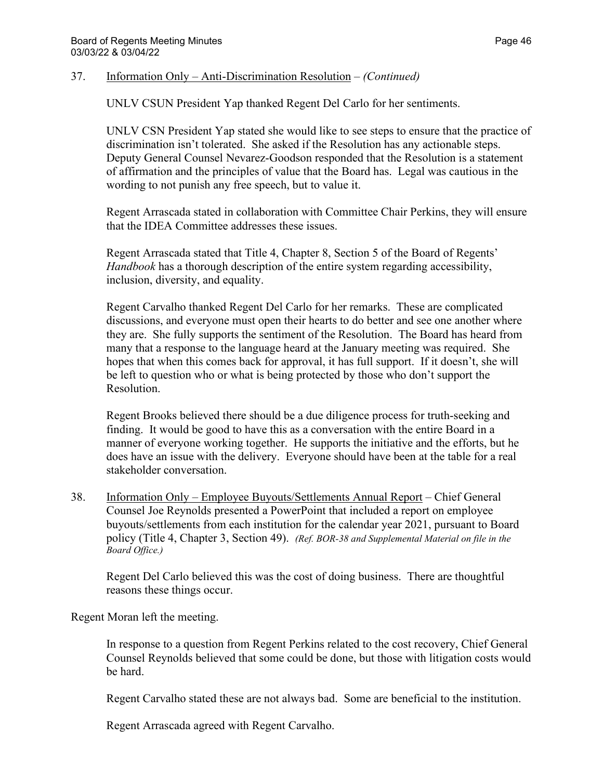### 37. Information Only – Anti-Discrimination Resolution – *(Continued)*

UNLV CSUN President Yap thanked Regent Del Carlo for her sentiments.

UNLV CSN President Yap stated she would like to see steps to ensure that the practice of discrimination isn't tolerated. She asked if the Resolution has any actionable steps. Deputy General Counsel Nevarez-Goodson responded that the Resolution is a statement of affirmation and the principles of value that the Board has. Legal was cautious in the wording to not punish any free speech, but to value it.

Regent Arrascada stated in collaboration with Committee Chair Perkins, they will ensure that the IDEA Committee addresses these issues.

Regent Arrascada stated that Title 4, Chapter 8, Section 5 of the Board of Regents' *Handbook* has a thorough description of the entire system regarding accessibility, inclusion, diversity, and equality.

Regent Carvalho thanked Regent Del Carlo for her remarks. These are complicated discussions, and everyone must open their hearts to do better and see one another where they are. She fully supports the sentiment of the Resolution. The Board has heard from many that a response to the language heard at the January meeting was required. She hopes that when this comes back for approval, it has full support. If it doesn't, she will be left to question who or what is being protected by those who don't support the Resolution.

Regent Brooks believed there should be a due diligence process for truth-seeking and finding. It would be good to have this as a conversation with the entire Board in a manner of everyone working together. He supports the initiative and the efforts, but he does have an issue with the delivery. Everyone should have been at the table for a real stakeholder conversation.

38. Information Only – Employee Buyouts/Settlements Annual Report – Chief General Counsel Joe Reynolds presented a PowerPoint that included a report on employee buyouts/settlements from each institution for the calendar year 2021, pursuant to Board policy (Title 4, Chapter 3, Section 49). *(Ref. BOR-38 and Supplemental Material on file in the Board Office.)* 

Regent Del Carlo believed this was the cost of doing business. There are thoughtful reasons these things occur.

Regent Moran left the meeting.

In response to a question from Regent Perkins related to the cost recovery, Chief General Counsel Reynolds believed that some could be done, but those with litigation costs would be hard.

Regent Carvalho stated these are not always bad. Some are beneficial to the institution.

Regent Arrascada agreed with Regent Carvalho.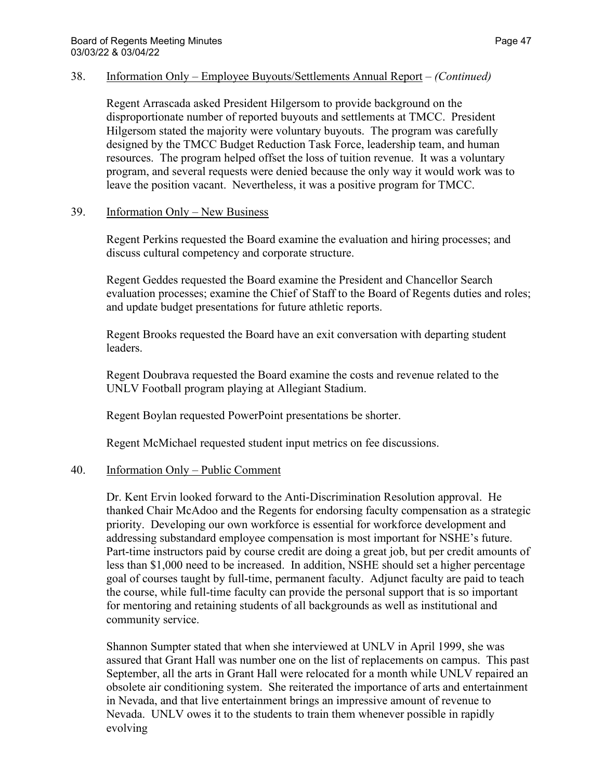#### 38. Information Only – Employee Buyouts/Settlements Annual Report – *(Continued)*

Regent Arrascada asked President Hilgersom to provide background on the disproportionate number of reported buyouts and settlements at TMCC. President Hilgersom stated the majority were voluntary buyouts. The program was carefully designed by the TMCC Budget Reduction Task Force, leadership team, and human resources. The program helped offset the loss of tuition revenue. It was a voluntary program, and several requests were denied because the only way it would work was to leave the position vacant. Nevertheless, it was a positive program for TMCC.

## 39. Information Only – New Business

Regent Perkins requested the Board examine the evaluation and hiring processes; and discuss cultural competency and corporate structure.

Regent Geddes requested the Board examine the President and Chancellor Search evaluation processes; examine the Chief of Staff to the Board of Regents duties and roles; and update budget presentations for future athletic reports.

Regent Brooks requested the Board have an exit conversation with departing student leaders.

Regent Doubrava requested the Board examine the costs and revenue related to the UNLV Football program playing at Allegiant Stadium.

Regent Boylan requested PowerPoint presentations be shorter.

Regent McMichael requested student input metrics on fee discussions.

# 40. Information Only – Public Comment

Dr. Kent Ervin looked forward to the Anti-Discrimination Resolution approval. He thanked Chair McAdoo and the Regents for endorsing faculty compensation as a strategic priority. Developing our own workforce is essential for workforce development and addressing substandard employee compensation is most important for NSHE's future. Part-time instructors paid by course credit are doing a great job, but per credit amounts of less than \$1,000 need to be increased. In addition, NSHE should set a higher percentage goal of courses taught by full-time, permanent faculty. Adjunct faculty are paid to teach the course, while full-time faculty can provide the personal support that is so important for mentoring and retaining students of all backgrounds as well as institutional and community service.

Shannon Sumpter stated that when she interviewed at UNLV in April 1999, she was assured that Grant Hall was number one on the list of replacements on campus. This past September, all the arts in Grant Hall were relocated for a month while UNLV repaired an obsolete air conditioning system. She reiterated the importance of arts and entertainment in Nevada, and that live entertainment brings an impressive amount of revenue to Nevada. UNLV owes it to the students to train them whenever possible in rapidly evolving